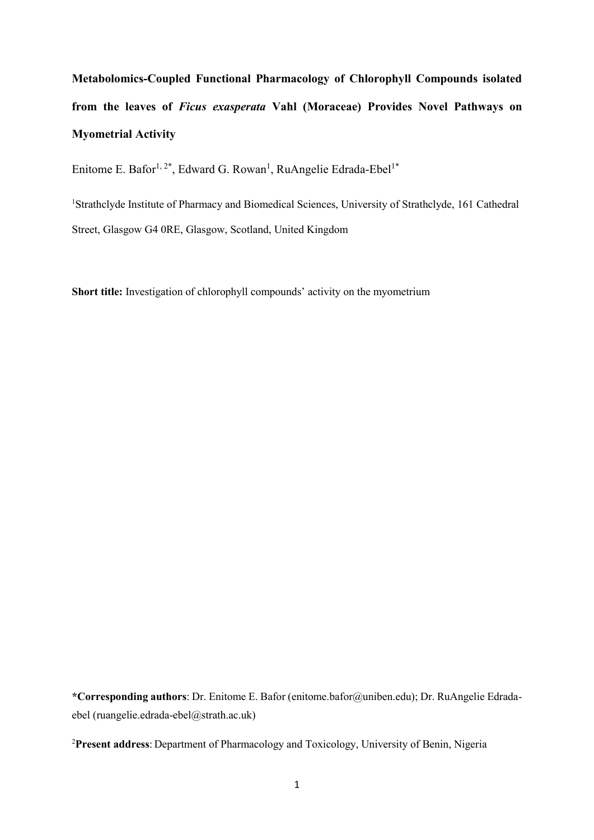**Metabolomics-Coupled Functional Pharmacology of Chlorophyll Compounds isolated from the leaves of** *Ficus exasperata* **Vahl (Moraceae) Provides Novel Pathways on Myometrial Activity** 

Enitome E. Bafor<sup>1, 2\*</sup>, Edward G. Rowan<sup>1</sup>, RuAngelie Edrada-Ebel<sup>1\*</sup>

<sup>1</sup>Strathclyde Institute of Pharmacy and Biomedical Sciences, University of Strathclyde, 161 Cathedral Street, Glasgow G4 0RE, Glasgow, Scotland, United Kingdom

**Short title:** Investigation of chlorophyll compounds' activity on the myometrium

**\*Corresponding authors**: Dr. Enitome E. Bafor (enitome.bafor@uniben.edu); Dr. RuAngelie Edradaebel (ruangelie.edrada-ebel@strath.ac.uk)

<sup>2</sup>**Present address**: Department of Pharmacology and Toxicology, University of Benin, Nigeria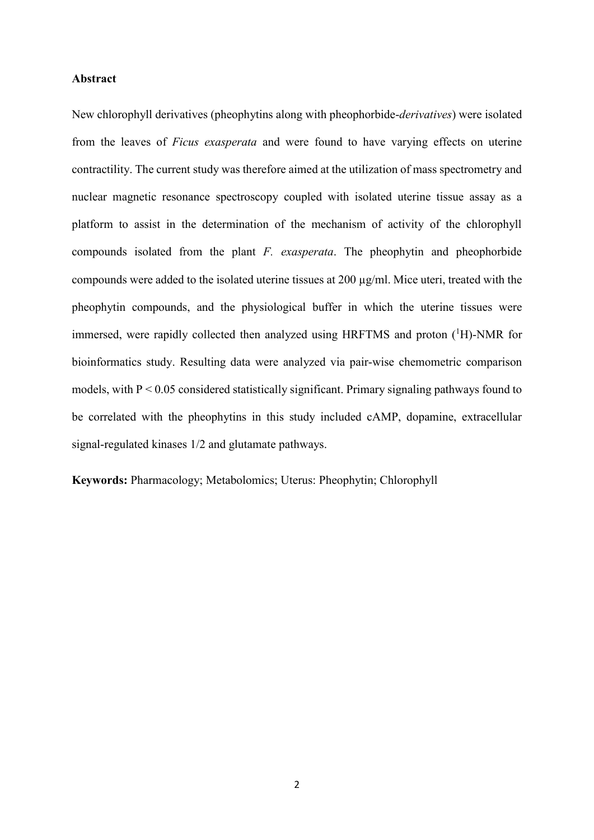#### **Abstract**

New chlorophyll derivatives (pheophytins along with pheophorbide-*derivatives*) were isolated from the leaves of *Ficus exasperata* and were found to have varying effects on uterine contractility. The current study was therefore aimed at the utilization of mass spectrometry and nuclear magnetic resonance spectroscopy coupled with isolated uterine tissue assay as a platform to assist in the determination of the mechanism of activity of the chlorophyll compounds isolated from the plant *F. exasperata*. The pheophytin and pheophorbide compounds were added to the isolated uterine tissues at 200 µg/ml. Mice uteri, treated with the pheophytin compounds, and the physiological buffer in which the uterine tissues were immersed, were rapidly collected then analyzed using HRFTMS and proton  $(^1H)$ -NMR for bioinformatics study. Resulting data were analyzed via pair-wise chemometric comparison models, with  $P < 0.05$  considered statistically significant. Primary signaling pathways found to be correlated with the pheophytins in this study included cAMP, dopamine, extracellular signal-regulated kinases 1/2 and glutamate pathways.

**Keywords:** Pharmacology; Metabolomics; Uterus: Pheophytin; Chlorophyll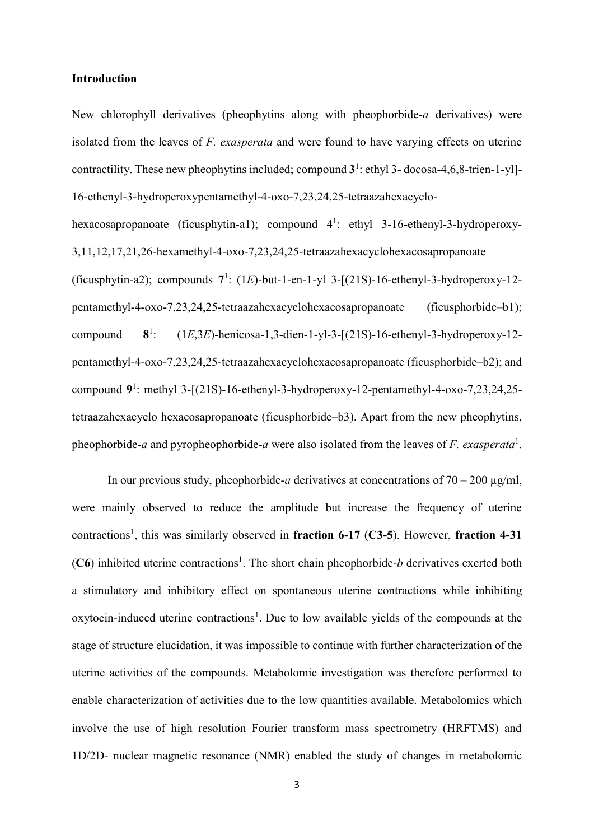#### **Introduction**

New chlorophyll derivatives (pheophytins along with pheophorbide-*a* derivatives) were isolated from the leaves of *F. exasperata* and were found to have varying effects on uterine contractility. These new pheophytins included; compound  $3^1$ : ethyl 3-docosa-4,6,8-trien-1-yl]-16-ethenyl-3-hydroperoxypentamethyl-4-oxo-7,23,24,25-tetraazahexacyclo-

hexacosapropanoate (ficusphytin-a1); compound 4<sup>1</sup>: ethyl 3-16-ethenyl-3-hydroperoxy-3,11,12,17,21,26-hexamethyl-4-oxo-7,23,24,25-tetraazahexacyclohexacosapropanoate (ficusphytin-a2); compounds **7** 1 : (1*E*)-but-1-en-1-yl 3-[(21S)-16-ethenyl-3-hydroperoxy-12 pentamethyl-4-oxo-7,23,24,25-tetraazahexacyclohexacosapropanoate (ficusphorbide–b1); compound **8**  $8<sup>1</sup>$ : (1*E*,3*E*)-henicosa-1,3-dien-1-yl-3-[(21S)-16-ethenyl-3-hydroperoxy-12 pentamethyl-4-oxo-7,23,24,25-tetraazahexacyclohexacosapropanoate (ficusphorbide–b2); and compound 9<sup>1</sup>: methyl 3-[(21S)-16-ethenyl-3-hydroperoxy-12-pentamethyl-4-oxo-7,23,24,25tetraazahexacyclo hexacosapropanoate (ficusphorbide–b3). Apart from the new pheophytins, pheophorbide-*a* and pyropheophorbide-*a* were also isolated from the leaves of *F. exasperata*<sup>1</sup> .

In our previous study, pheophorbide-*a* derivatives at concentrations of  $70 - 200 \mu g/ml$ , were mainly observed to reduce the amplitude but increase the frequency of uterine contractions<sup>1</sup>, this was similarly observed in fraction 6-17 (C3-5). However, fraction 4-31  $(C6)$  inhibited uterine contractions<sup>1</sup>. The short chain pheophorbide-*b* derivatives exerted both a stimulatory and inhibitory effect on spontaneous uterine contractions while inhibiting oxytocin-induced uterine contractions<sup>1</sup>. Due to low available yields of the compounds at the stage of structure elucidation, it was impossible to continue with further characterization of the uterine activities of the compounds. Metabolomic investigation was therefore performed to enable characterization of activities due to the low quantities available. Metabolomics which involve the use of high resolution Fourier transform mass spectrometry (HRFTMS) and 1D/2D- nuclear magnetic resonance (NMR) enabled the study of changes in metabolomic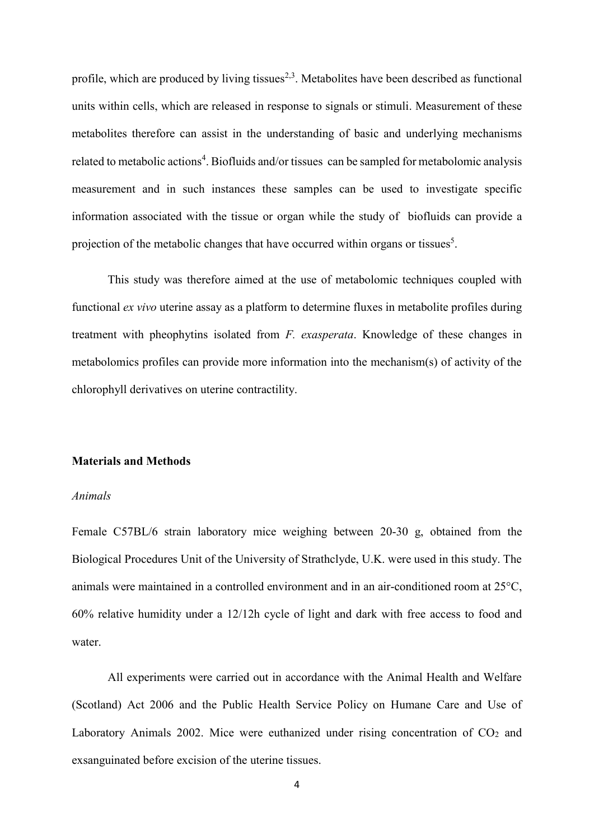profile, which are produced by living tissues<sup>2,3</sup>. Metabolites have been described as functional units within cells, which are released in response to signals or stimuli. Measurement of these metabolites therefore can assist in the understanding of basic and underlying mechanisms related to metabolic actions<sup>4</sup>. Biofluids and/or tissues can be sampled for metabolomic analysis measurement and in such instances these samples can be used to investigate specific information associated with the tissue or organ while the study of biofluids can provide a projection of the metabolic changes that have occurred within organs or tissues<sup>5</sup>.

This study was therefore aimed at the use of metabolomic techniques coupled with functional *ex vivo* uterine assay as a platform to determine fluxes in metabolite profiles during treatment with pheophytins isolated from *F. exasperata*. Knowledge of these changes in metabolomics profiles can provide more information into the mechanism(s) of activity of the chlorophyll derivatives on uterine contractility.

#### **Materials and Methods**

# *Animals*

Female C57BL/6 strain laboratory mice weighing between 20-30 g, obtained from the Biological Procedures Unit of the University of Strathclyde, U.K. were used in this study. The animals were maintained in a controlled environment and in an air-conditioned room at 25°C, 60% relative humidity under a 12/12h cycle of light and dark with free access to food and water.

All experiments were carried out in accordance with the Animal Health and Welfare (Scotland) Act 2006 and the Public Health Service Policy on Humane Care and Use of Laboratory Animals 2002. Mice were euthanized under rising concentration of  $CO<sub>2</sub>$  and exsanguinated before excision of the uterine tissues.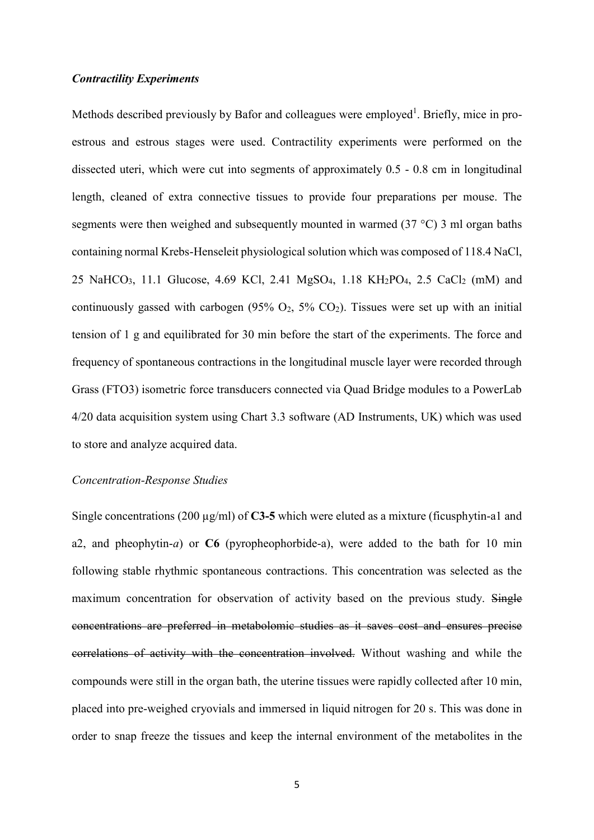#### *Contractility Experiments*

Methods described previously by Bafor and colleagues were employed<sup>1</sup>. Briefly, mice in proestrous and estrous stages were used. Contractility experiments were performed on the dissected uteri, which were cut into segments of approximately 0.5 - 0.8 cm in longitudinal length, cleaned of extra connective tissues to provide four preparations per mouse. The segments were then weighed and subsequently mounted in warmed (37 °C) 3 ml organ baths containing normal Krebs-Henseleit physiological solution which was composed of 118.4 NaCl, 25 NaHCO<sub>3</sub>, 11.1 Glucose, 4.69 KCl, 2.41 MgSO<sub>4</sub>, 1.18 KH<sub>2</sub>PO<sub>4</sub>, 2.5 CaCl<sub>2</sub> (mM) and continuously gassed with carbogen  $(95\% \text{ O}_2, 5\% \text{ CO}_2)$ . Tissues were set up with an initial tension of 1 g and equilibrated for 30 min before the start of the experiments. The force and frequency of spontaneous contractions in the longitudinal muscle layer were recorded through Grass (FTO3) isometric force transducers connected via Quad Bridge modules to a PowerLab 4/20 data acquisition system using Chart 3.3 software (AD Instruments, UK) which was used to store and analyze acquired data.

#### *Concentration-Response Studies*

Single concentrations (200 µg/ml) of **C3-5** which were eluted as a mixture (ficusphytin-a1 and a2, and pheophytin-*a*) or **C6** (pyropheophorbide-a), were added to the bath for 10 min following stable rhythmic spontaneous contractions. This concentration was selected as the maximum concentration for observation of activity based on the previous study. Single concentrations are preferred in metabolomic studies as it saves cost and ensures precise correlations of activity with the concentration involved. Without washing and while the compounds were still in the organ bath, the uterine tissues were rapidly collected after 10 min, placed into pre-weighed cryovials and immersed in liquid nitrogen for 20 s. This was done in order to snap freeze the tissues and keep the internal environment of the metabolites in the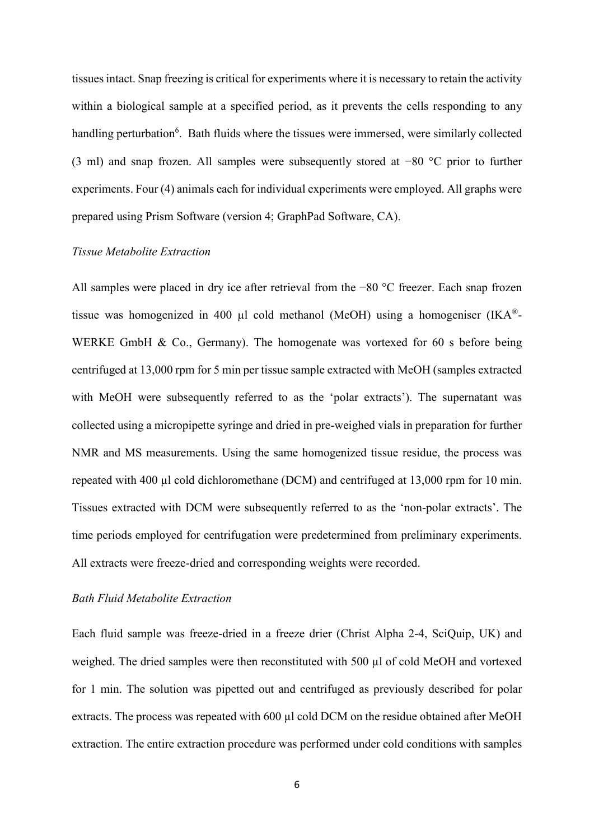tissues intact. Snap freezing is critical for experiments where it is necessary to retain the activity within a biological sample at a specified period, as it prevents the cells responding to any handling perturbation<sup>6</sup>. Bath fluids where the tissues were immersed, were similarly collected (3 ml) and snap frozen. All samples were subsequently stored at −80 °C prior to further experiments. Four (4) animals each for individual experiments were employed. All graphs were prepared using Prism Software (version 4; GraphPad Software, CA).

## *Tissue Metabolite Extraction*

All samples were placed in dry ice after retrieval from the −80 °C freezer. Each snap frozen tissue was homogenized in 400  $\mu$ l cold methanol (MeOH) using a homogeniser (IKA<sup>®</sup>-WERKE GmbH & Co., Germany). The homogenate was vortexed for 60 s before being centrifuged at 13,000 rpm for 5 min per tissue sample extracted with MeOH (samples extracted with MeOH were subsequently referred to as the 'polar extracts'). The supernatant was collected using a micropipette syringe and dried in pre-weighed vials in preparation for further NMR and MS measurements. Using the same homogenized tissue residue, the process was repeated with 400 µl cold dichloromethane (DCM) and centrifuged at 13,000 rpm for 10 min. Tissues extracted with DCM were subsequently referred to as the 'non-polar extracts'. The time periods employed for centrifugation were predetermined from preliminary experiments. All extracts were freeze-dried and corresponding weights were recorded.

# *Bath Fluid Metabolite Extraction*

Each fluid sample was freeze-dried in a freeze drier (Christ Alpha 2-4, SciQuip, UK) and weighed. The dried samples were then reconstituted with 500 ul of cold MeOH and vortexed for 1 min. The solution was pipetted out and centrifuged as previously described for polar extracts. The process was repeated with 600 µl cold DCM on the residue obtained after MeOH extraction. The entire extraction procedure was performed under cold conditions with samples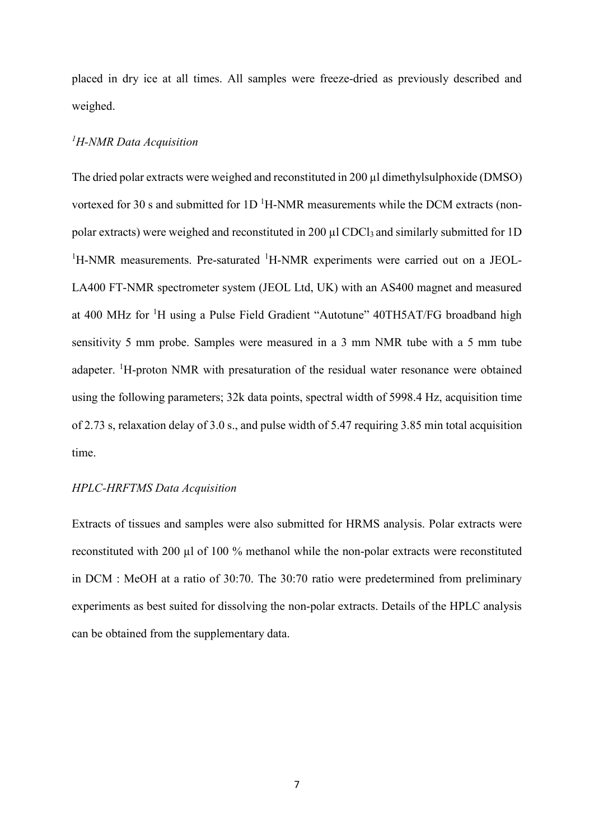placed in dry ice at all times. All samples were freeze-dried as previously described and weighed.

# *<sup>1</sup>H-NMR Data Acquisition*

The dried polar extracts were weighed and reconstituted in 200 µl dimethylsulphoxide (DMSO) vortexed for 30 s and submitted for  $1D<sup>1</sup>H-NMR$  measurements while the DCM extracts (nonpolar extracts) were weighed and reconstituted in 200 µl CDCl3 and similarly submitted for 1D <sup>1</sup>H-NMR measurements. Pre-saturated <sup>1</sup>H-NMR experiments were carried out on a JEOL-LA400 FT-NMR spectrometer system (JEOL Ltd, UK) with an AS400 magnet and measured at 400 MHz for <sup>1</sup>H using a Pulse Field Gradient "Autotune" 40TH5AT/FG broadband high sensitivity 5 mm probe. Samples were measured in a 3 mm NMR tube with a 5 mm tube adapeter. <sup>1</sup>H-proton NMR with presaturation of the residual water resonance were obtained using the following parameters; 32k data points, spectral width of 5998.4 Hz, acquisition time of 2.73 s, relaxation delay of 3.0 s., and pulse width of 5.47 requiring 3.85 min total acquisition time.

# *HPLC-HRFTMS Data Acquisition*

Extracts of tissues and samples were also submitted for HRMS analysis. Polar extracts were reconstituted with 200 µl of 100 % methanol while the non-polar extracts were reconstituted in DCM : MeOH at a ratio of 30:70. The 30:70 ratio were predetermined from preliminary experiments as best suited for dissolving the non-polar extracts. Details of the HPLC analysis can be obtained from the supplementary data.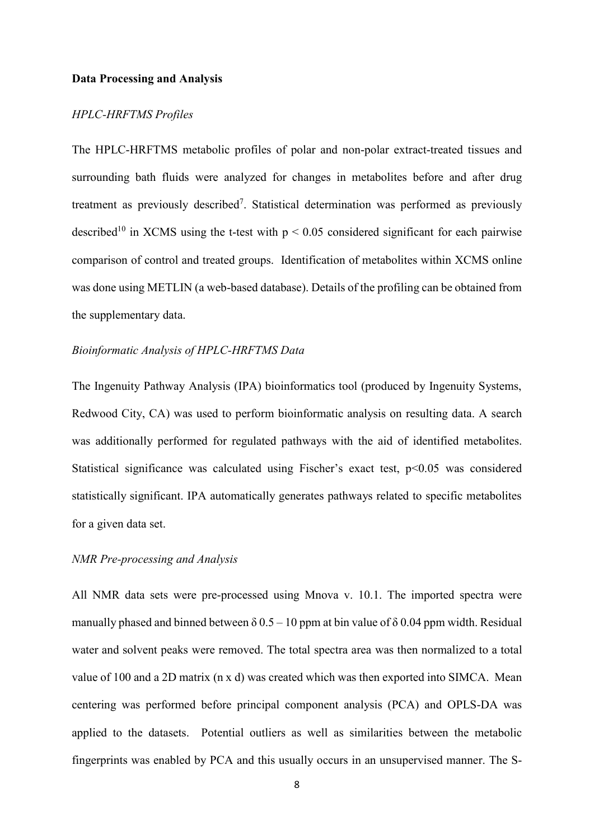#### **Data Processing and Analysis**

## *HPLC-HRFTMS Profiles*

The HPLC-HRFTMS metabolic profiles of polar and non-polar extract-treated tissues and surrounding bath fluids were analyzed for changes in metabolites before and after drug treatment as previously described<sup>7</sup>. Statistical determination was performed as previously described<sup>10</sup> in XCMS using the t-test with  $p \le 0.05$  considered significant for each pairwise comparison of control and treated groups. Identification of metabolites within XCMS online was done using METLIN (a web-based database). Details of the profiling can be obtained from the supplementary data.

#### *Bioinformatic Analysis of HPLC-HRFTMS Data*

The Ingenuity Pathway Analysis (IPA) bioinformatics tool (produced by Ingenuity Systems, Redwood City, CA) was used to perform bioinformatic analysis on resulting data. A search was additionally performed for regulated pathways with the aid of identified metabolites. Statistical significance was calculated using Fischer's exact test, p<0.05 was considered statistically significant. IPA automatically generates pathways related to specific metabolites for a given data set.

## *NMR Pre-processing and Analysis*

All NMR data sets were pre-processed using Mnova v. 10.1. The imported spectra were manually phased and binned between  $\delta$  0.5 – 10 ppm at bin value of  $\delta$  0.04 ppm width. Residual water and solvent peaks were removed. The total spectra area was then normalized to a total value of 100 and a 2D matrix (n x d) was created which was then exported into SIMCA. Mean centering was performed before principal component analysis (PCA) and OPLS-DA was applied to the datasets. Potential outliers as well as similarities between the metabolic fingerprints was enabled by PCA and this usually occurs in an unsupervised manner. The S-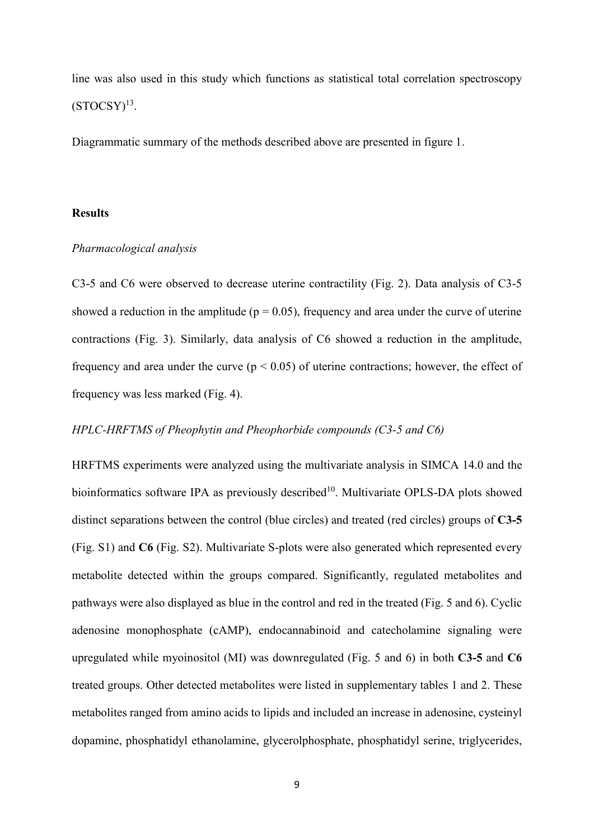line was also used in this study which functions as statistical total correlation spectroscopy  $(STOCSY)<sup>13</sup>$ .

Diagrammatic summary of the methods described above are presented in figure 1.

## **Results**

#### *Pharmacological analysis*

C3-5 and C6 were observed to decrease uterine contractility (Fig. 2). Data analysis of C3-5 showed a reduction in the amplitude ( $p = 0.05$ ), frequency and area under the curve of uterine contractions (Fig. 3). Similarly, data analysis of C6 showed a reduction in the amplitude, frequency and area under the curve ( $p < 0.05$ ) of uterine contractions; however, the effect of frequency was less marked (Fig. 4).

#### *HPLC-HRFTMS of Pheophytin and Pheophorbide compounds (C3-5 and C6)*

HRFTMS experiments were analyzed using the multivariate analysis in SIMCA 14.0 and the bioinformatics software IPA as previously described<sup>10</sup>. Multivariate OPLS-DA plots showed distinct separations between the control (blue circles) and treated (red circles) groups of **C3-5** (Fig. S1) and **C6** (Fig. S2). Multivariate S-plots were also generated which represented every metabolite detected within the groups compared. Significantly, regulated metabolites and pathways were also displayed as blue in the control and red in the treated (Fig. 5 and 6). Cyclic adenosine monophosphate (cAMP), endocannabinoid and catecholamine signaling were upregulated while myoinositol (MI) was downregulated (Fig. 5 and 6) in both **C3-5** and **C6** treated groups. Other detected metabolites were listed in supplementary tables 1 and 2. These metabolites ranged from amino acids to lipids and included an increase in adenosine, cysteinyl dopamine, phosphatidyl ethanolamine, glycerolphosphate, phosphatidyl serine, triglycerides,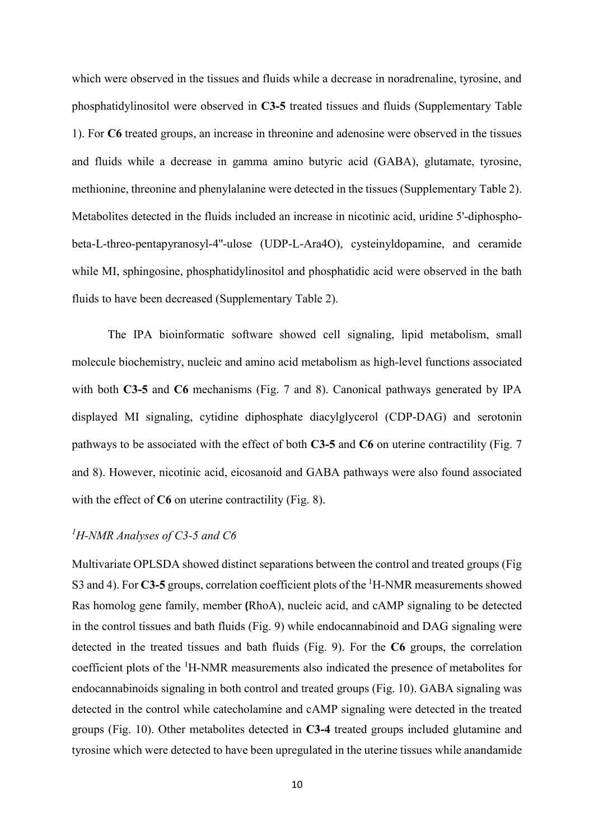which were observed in the tissues and fluids while a decrease in noradrenaline, tyrosine, and phosphatidylinositol were observed in **C3-5** treated tissues and fluids (Supplementary Table 1). For **C6** treated groups, an increase in threonine and adenosine were observed in the tissues and fluids while a decrease in gamma amino butyric acid (GABA), glutamate, tyrosine, methionine, threonine and phenylalanine were detected in the tissues (Supplementary Table 2). Metabolites detected in the fluids included an increase in nicotinic acid, uridine 5'-diphosphobeta-L-threo-pentapyranosyl-4''-ulose (UDP-L-Ara4O), cysteinyldopamine, and ceramide while MI, sphingosine, phosphatidylinositol and phosphatidic acid were observed in the bath fluids to have been decreased (Supplementary Table 2).

The IPA bioinformatic software showed cell signaling, lipid metabolism, small molecule biochemistry, nucleic and amino acid metabolism as high-level functions associated with both **C3-5** and **C6** mechanisms (Fig. 7 and 8). Canonical pathways generated by IPA displayed MI signaling, cytidine diphosphate diacylglycerol (CDP-DAG) and serotonin pathways to be associated with the effect of both **C3-5** and **C6** on uterine contractility (Fig. 7 and 8). However, nicotinic acid, eicosanoid and GABA pathways were also found associated with the effect of **C6** on uterine contractility (Fig. 8).

#### *<sup>1</sup>H-NMR Analyses of C3-5 and C6*

Multivariate OPLSDA showed distinct separations between the control and treated groups (Fig S3 and 4). For **C3-5** groups, correlation coefficient plots of the <sup>1</sup>H-NMR measurements showed Ras homolog gene family, member **(**RhoA), nucleic acid, and cAMP signaling to be detected in the control tissues and bath fluids (Fig. 9) while endocannabinoid and DAG signaling were detected in the treated tissues and bath fluids (Fig. 9). For the **C6** groups, the correlation coefficient plots of the <sup>1</sup>H-NMR measurements also indicated the presence of metabolites for endocannabinoids signaling in both control and treated groups (Fig. 10). GABA signaling was detected in the control while catecholamine and cAMP signaling were detected in the treated groups (Fig. 10). Other metabolites detected in **C3-4** treated groups included glutamine and tyrosine which were detected to have been upregulated in the uterine tissues while anandamide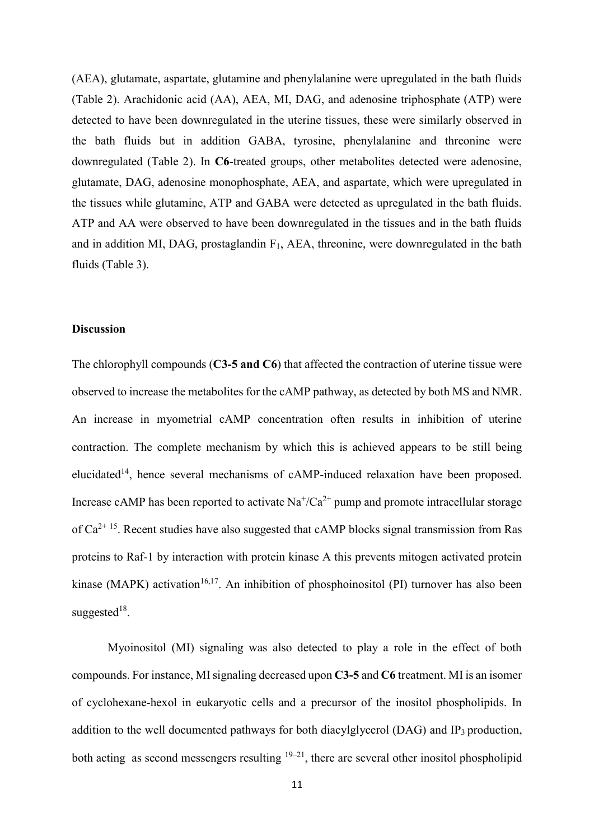(AEA), glutamate, aspartate, glutamine and phenylalanine were upregulated in the bath fluids (Table 2). Arachidonic acid (AA), AEA, MI, DAG, and adenosine triphosphate (ATP) were detected to have been downregulated in the uterine tissues, these were similarly observed in the bath fluids but in addition GABA, tyrosine, phenylalanine and threonine were downregulated (Table 2). In **C6**-treated groups, other metabolites detected were adenosine, glutamate, DAG, adenosine monophosphate, AEA, and aspartate, which were upregulated in the tissues while glutamine, ATP and GABA were detected as upregulated in the bath fluids. ATP and AA were observed to have been downregulated in the tissues and in the bath fluids and in addition MI, DAG, prostaglandin  $F_1$ , AEA, threonine, were downregulated in the bath fluids (Table 3).

## **Discussion**

The chlorophyll compounds (**C3-5 and C6**) that affected the contraction of uterine tissue were observed to increase the metabolites for the cAMP pathway, as detected by both MS and NMR. An increase in myometrial cAMP concentration often results in inhibition of uterine contraction. The complete mechanism by which this is achieved appears to be still being elucidated<sup>14</sup>, hence several mechanisms of cAMP-induced relaxation have been proposed. Increase cAMP has been reported to activate  $\text{Na}^+\text{/Ca}^{2+}$  pump and promote intracellular storage of  $Ca^{2+15}$ . Recent studies have also suggested that cAMP blocks signal transmission from Ras proteins to Raf-1 by interaction with protein kinase A this prevents mitogen activated protein kinase (MAPK) activation<sup>16,17</sup>. An inhibition of phosphoinositol (PI) turnover has also been suggested $18$ .

Myoinositol (MI) signaling was also detected to play a role in the effect of both compounds. For instance, MI signaling decreased upon **C3-5** and **C6** treatment. MI is an isomer of cyclohexane-hexol in eukaryotic cells and a precursor of the inositol phospholipids. In addition to the well documented pathways for both diacylglycerol (DAG) and  $IP_3$  production, both acting as second messengers resulting  $19-21$ , there are several other inositol phospholipid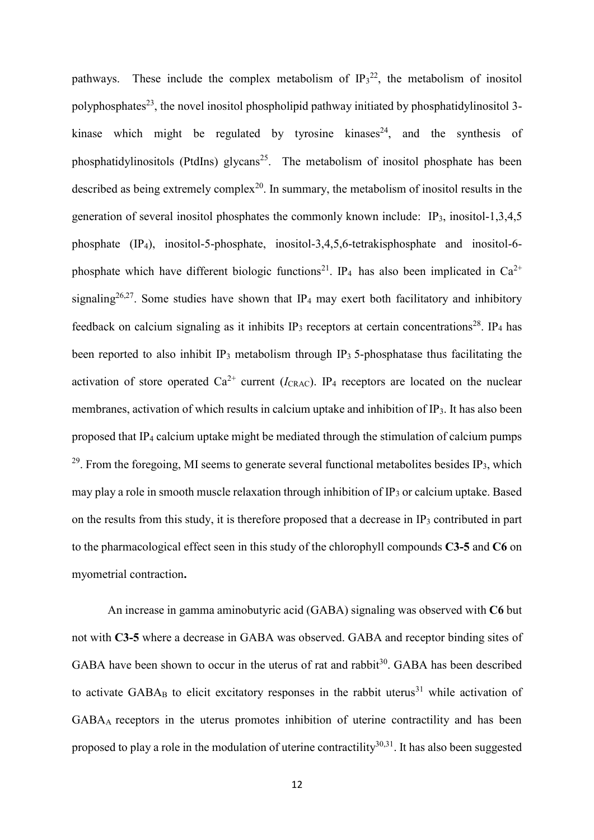pathways. These include the complex metabolism of  $IP_3^{22}$ , the metabolism of inositol polyphosphates<sup>23</sup>, the novel inositol phospholipid pathway initiated by phosphatidylinositol 3kinase which might be regulated by tyrosine kinases<sup>24</sup>, and the synthesis of phosphatidylinositols (PtdIns) glycans<sup>25</sup>. The metabolism of inositol phosphate has been described as being extremely complex<sup>20</sup>. In summary, the metabolism of inositol results in the generation of several inositol phosphates the commonly known include: IP<sub>3</sub>, inositol-1,3,4,5 phosphate (IP4), inositol-5-phosphate, inositol-3,4,5,6-tetrakisphosphate and inositol-6 phosphate which have different biologic functions<sup>21</sup>. IP<sub>4</sub> has also been implicated in  $Ca^{2+}$ signaling<sup>26,27</sup>. Some studies have shown that IP<sub>4</sub> may exert both facilitatory and inhibitory feedback on calcium signaling as it inhibits  $IP_3$  receptors at certain concentrations<sup>28</sup>. IP<sub>4</sub> has been reported to also inhibit IP<sub>3</sub> metabolism through IP<sub>3</sub> 5-phosphatase thus facilitating the activation of store operated  $Ca^{2+}$  current ( $I_{CRAC}$ ). IP<sub>4</sub> receptors are located on the nuclear membranes, activation of which results in calcium uptake and inhibition of IP3. It has also been proposed that  $\mathbb{P}_4$  calcium uptake might be mediated through the stimulation of calcium pumps <sup>29</sup>. From the foregoing, MI seems to generate several functional metabolites besides IP<sub>3</sub>, which may play a role in smooth muscle relaxation through inhibition of IP3 or calcium uptake. Based on the results from this study, it is therefore proposed that a decrease in  $IP_3$  contributed in part to the pharmacological effect seen in this study of the chlorophyll compounds **C3-5** and **C6** on myometrial contraction**.** 

An increase in gamma aminobutyric acid (GABA) signaling was observed with **C6** but not with **C3-5** where a decrease in GABA was observed. GABA and receptor binding sites of GABA have been shown to occur in the uterus of rat and rabbit $30$ . GABA has been described to activate  $GABA_B$  to elicit excitatory responses in the rabbit uterus<sup>31</sup> while activation of GABAA receptors in the uterus promotes inhibition of uterine contractility and has been proposed to play a role in the modulation of uterine contractility<sup>30,31</sup>. It has also been suggested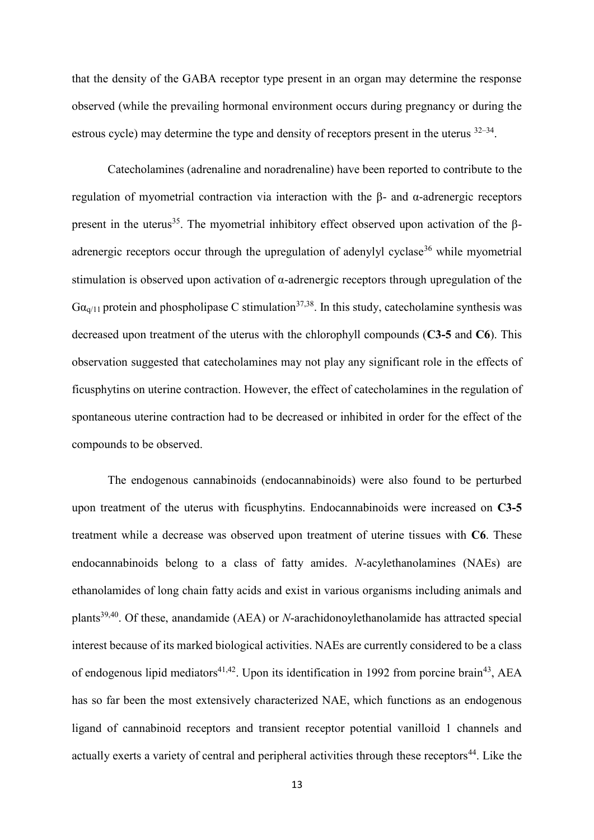that the density of the GABA receptor type present in an organ may determine the response observed (while the prevailing hormonal environment occurs during pregnancy or during the estrous cycle) may determine the type and density of receptors present in the uterus  $32-34$ .

Catecholamines (adrenaline and noradrenaline) have been reported to contribute to the regulation of myometrial contraction via interaction with the β- and α-adrenergic receptors present in the uterus<sup>35</sup>. The myometrial inhibitory effect observed upon activation of the βadrenergic receptors occur through the upregulation of adenylyl cyclase<sup>36</sup> while myometrial stimulation is observed upon activation of α-adrenergic receptors through upregulation of the  $Ga_{q/11}$  protein and phospholipase C stimulation<sup>37,38</sup>. In this study, cate cholamine synthesis was decreased upon treatment of the uterus with the chlorophyll compounds (**C3-5** and **C6**). This observation suggested that catecholamines may not play any significant role in the effects of ficusphytins on uterine contraction. However, the effect of catecholamines in the regulation of spontaneous uterine contraction had to be decreased or inhibited in order for the effect of the compounds to be observed.

The endogenous cannabinoids (endocannabinoids) were also found to be perturbed upon treatment of the uterus with ficusphytins. Endocannabinoids were increased on **C3-5** treatment while a decrease was observed upon treatment of uterine tissues with **C6**. These endocannabinoids belong to a class of fatty amides. *N*-acylethanolamines (NAEs) are ethanolamides of long chain fatty acids and exist in various organisms including animals and plants39,40. Of these, anandamide (AEA) or *N*-arachidonoylethanolamide has attracted special interest because of its marked biological activities. NAEs are currently considered to be a class of endogenous lipid mediators<sup>41,42</sup>. Upon its identification in 1992 from porcine brain<sup>43</sup>, AEA has so far been the most extensively characterized NAE, which functions as an endogenous ligand of cannabinoid receptors and transient receptor potential vanilloid 1 channels and actually exerts a variety of central and peripheral activities through these receptors<sup>44</sup>. Like the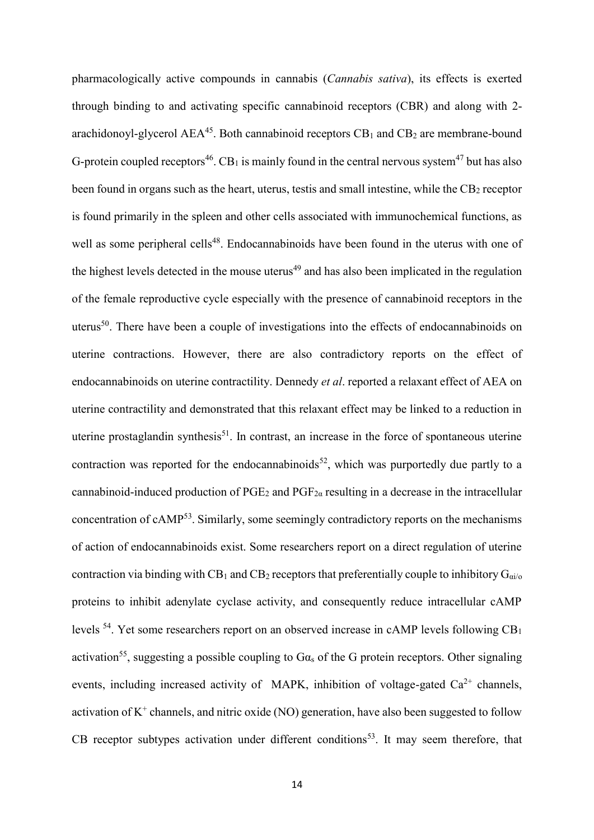pharmacologically active compounds in cannabis (*Cannabis sativa*), its effects is exerted through binding to and activating specific cannabinoid receptors (CBR) and along with 2 arachidonoyl-glycerol  $AEA<sup>45</sup>$ . Both cannabinoid receptors  $CB<sub>1</sub>$  and  $CB<sub>2</sub>$  are membrane-bound G-protein coupled receptors<sup>46</sup>. CB<sub>1</sub> is mainly found in the central nervous system<sup>47</sup> but has also been found in organs such as the heart, uterus, testis and small intestine, while the  $CB<sub>2</sub>$  receptor is found primarily in the spleen and other cells associated with immunochemical functions, as well as some peripheral cells<sup>48</sup>. Endocannabinoids have been found in the uterus with one of the highest levels detected in the mouse uterus<sup>49</sup> and has also been implicated in the regulation of the female reproductive cycle especially with the presence of cannabinoid receptors in the uterus<sup>50</sup>. There have been a couple of investigations into the effects of endocannabinoids on uterine contractions. However, there are also contradictory reports on the effect of endocannabinoids on uterine contractility. Dennedy *et al*. reported a relaxant effect of AEA on uterine contractility and demonstrated that this relaxant effect may be linked to a reduction in uterine prostaglandin synthesis<sup>51</sup>. In contrast, an increase in the force of spontaneous uterine contraction was reported for the endocannabinoids<sup>52</sup>, which was purportedly due partly to a cannabinoid-induced production of  $PGE_2$  and  $PGF_{2\alpha}$  resulting in a decrease in the intracellular concentration of cAMP<sup>53</sup>. Similarly, some seemingly contradictory reports on the mechanisms of action of endocannabinoids exist. Some researchers report on a direct regulation of uterine contraction via binding with  $CB_1$  and  $CB_2$  receptors that preferentially couple to inhibitory  $G_{\alpha i/\alpha}$ proteins to inhibit adenylate cyclase activity, and consequently reduce intracellular cAMP levels  $^{54}$ . Yet some researchers report on an observed increase in cAMP levels following CB<sub>1</sub> activation<sup>55</sup>, suggesting a possible coupling to  $Ga<sub>s</sub>$  of the G protein receptors. Other signaling events, including increased activity of MAPK, inhibition of voltage-gated  $Ca^{2+}$  channels, activation of  $K^+$  channels, and nitric oxide (NO) generation, have also been suggested to follow CB receptor subtypes activation under different conditions<sup>53</sup>. It may seem therefore, that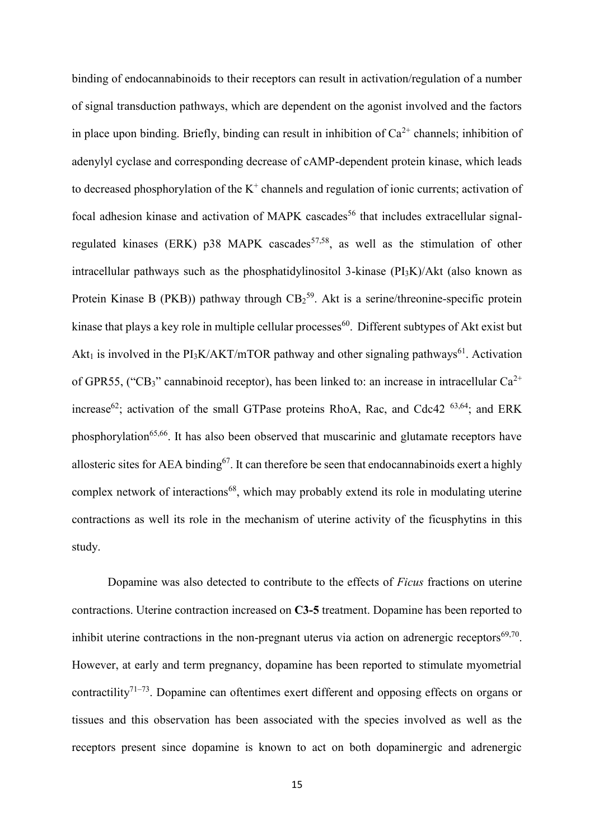binding of endocannabinoids to their receptors can result in activation/regulation of a number of signal transduction pathways, which are dependent on the agonist involved and the factors in place upon binding. Briefly, binding can result in inhibition of  $Ca^{2+}$  channels; inhibition of adenylyl cyclase and corresponding decrease of cAMP-dependent protein kinase, which leads to decreased phosphorylation of the  $K^+$  channels and regulation of ionic currents; activation of focal adhesion kinase and activation of MAPK cascades<sup>56</sup> that includes extracellular signalregulated kinases (ERK) p38 MAPK cascades<sup>57,58</sup>, as well as the stimulation of other intracellular pathways such as the phosphatidylinositol 3-kinase  $(PI_3K)/Akt$  (also known as Protein Kinase B (PKB)) pathway through  $CB_2^{59}$ . Akt is a serine/threonine-specific protein kinase that plays a key role in multiple cellular processes<sup>60</sup>. Different subtypes of Akt exist but Akt<sub>1</sub> is involved in the PI<sub>3</sub>K/AKT/mTOR pathway and other signaling pathways<sup>61</sup>. Activation of GPR55, ("CB3" cannabinoid receptor), has been linked to: an increase in intracellular  $Ca^{2+}$ increase<sup>62</sup>; activation of the small GTPase proteins RhoA, Rac, and Cdc42<sup>63,64</sup>; and ERK phosphorylation<sup>65,66</sup>. It has also been observed that muscarinic and glutamate receptors have allosteric sites for AEA binding<sup>67</sup>. It can therefore be seen that endocannabinoids exert a highly complex network of interactions<sup>68</sup>, which may probably extend its role in modulating uterine contractions as well its role in the mechanism of uterine activity of the ficusphytins in this study.

Dopamine was also detected to contribute to the effects of *Ficus* fractions on uterine contractions. Uterine contraction increased on **C3-5** treatment. Dopamine has been reported to inhibit uterine contractions in the non-pregnant uterus via action on adrenergic receptors $69,70$ . However, at early and term pregnancy, dopamine has been reported to stimulate myometrial contractility<sup>71–73</sup>. Dopamine can oftentimes exert different and opposing effects on organs or tissues and this observation has been associated with the species involved as well as the receptors present since dopamine is known to act on both dopaminergic and adrenergic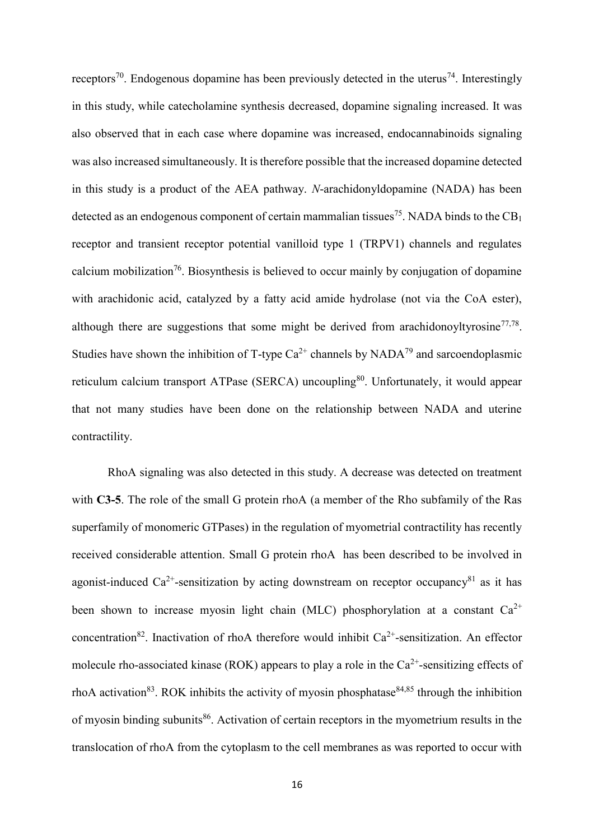receptors<sup>70</sup>. Endogenous dopamine has been previously detected in the uterus<sup>74</sup>. Interestingly in this study, while catecholamine synthesis decreased, dopamine signaling increased. It was also observed that in each case where dopamine was increased, endocannabinoids signaling was also increased simultaneously. It is therefore possible that the increased dopamine detected in this study is a product of the AEA pathway. *N*-arachidonyldopamine (NADA) has been detected as an endogenous component of certain mammalian tissues<sup>75</sup>. NADA binds to the  $CB<sub>1</sub>$ receptor and transient receptor potential vanilloid type 1 (TRPV1) channels and regulates calcium mobilization<sup>76</sup>. Biosynthesis is believed to occur mainly by conjugation of dopamine with arachidonic acid, catalyzed by a fatty acid amide hydrolase (not via the CoA ester), although there are suggestions that some might be derived from arachidonoyltyrosine $77,78$ . Studies have shown the inhibition of T-type  $Ca^{2+}$  channels by  $NADA^{79}$  and sarcoendoplasmic reticulum calcium transport ATPase (SERCA) uncoupling<sup>80</sup>. Unfortunately, it would appear that not many studies have been done on the relationship between NADA and uterine contractility.

RhoA signaling was also detected in this study. A decrease was detected on treatment with **C3-5**. The role of the small G protein rhoA (a member of the Rho subfamily of the Ras superfamily of monomeric GTPases) in the regulation of myometrial contractility has recently received considerable attention. Small G protein rhoA has been described to be involved in agonist-induced Ca<sup>2+</sup>-sensitization by acting downstream on receptor occupancy<sup>81</sup> as it has been shown to increase myosin light chain (MLC) phosphorylation at a constant  $Ca^{2+}$ concentration<sup>82</sup>. Inactivation of rhoA therefore would inhibit  $Ca^{2+}$ -sensitization. An effector molecule rho-associated kinase (ROK) appears to play a role in the  $Ca<sup>2+</sup>$ -sensitizing effects of rhoA activation<sup>83</sup>. ROK inhibits the activity of myosin phosphatase<sup>84,85</sup> through the inhibition of myosin binding subunits<sup>86</sup>. Activation of certain receptors in the myometrium results in the translocation of rhoA from the cytoplasm to the cell membranes as was reported to occur with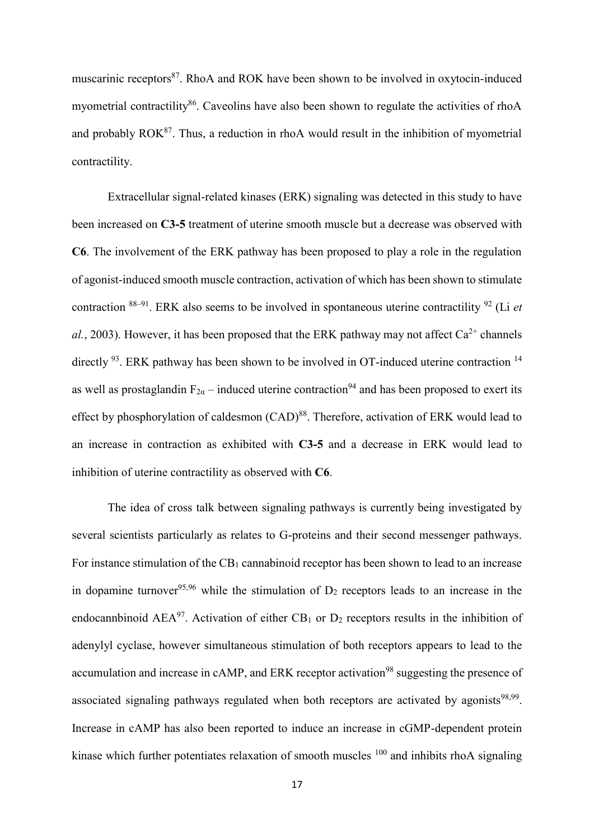muscarinic receptors<sup>87</sup>. RhoA and ROK have been shown to be involved in oxytocin-induced myometrial contractility<sup>86</sup>. Caveolins have also been shown to regulate the activities of rhoA and probably  $ROK^{87}$ . Thus, a reduction in rhoA would result in the inhibition of myometrial contractility.

Extracellular signal-related kinases (ERK) signaling was detected in this study to have been increased on **C3-5** treatment of uterine smooth muscle but a decrease was observed with **C6**. The involvement of the ERK pathway has been proposed to play a role in the regulation of agonist-induced smooth muscle contraction, activation of which has been shown to stimulate contraction <sup>88</sup>–<sup>91</sup>. ERK also seems to be involved in spontaneous uterine contractility <sup>92</sup> (Li *et al.*, 2003). However, it has been proposed that the ERK pathway may not affect  $Ca^{2+}$  channels directly <sup>93</sup>. ERK pathway has been shown to be involved in OT-induced uterine contraction <sup>14</sup> as well as prostaglandin  $F_{2\alpha}$  – induced uterine contraction<sup>94</sup> and has been proposed to exert its effect by phosphorylation of caldesmon (CAD)<sup>88</sup>. Therefore, activation of ERK would lead to an increase in contraction as exhibited with **C3-5** and a decrease in ERK would lead to inhibition of uterine contractility as observed with **C6**.

The idea of cross talk between signaling pathways is currently being investigated by several scientists particularly as relates to G-proteins and their second messenger pathways. For instance stimulation of the  $CB_1$  cannabinoid receptor has been shown to lead to an increase in dopamine turnover<sup>95,96</sup> while the stimulation of  $D_2$  receptors leads to an increase in the endocannbinoid AEA<sup>97</sup>. Activation of either CB<sub>1</sub> or D<sub>2</sub> receptors results in the inhibition of adenylyl cyclase, however simultaneous stimulation of both receptors appears to lead to the accumulation and increase in cAMP, and ERK receptor activation<sup>98</sup> suggesting the presence of associated signaling pathways regulated when both receptors are activated by agonists $98,99$ . Increase in cAMP has also been reported to induce an increase in cGMP-dependent protein kinase which further potentiates relaxation of smooth muscles <sup>100</sup> and inhibits rhoA signaling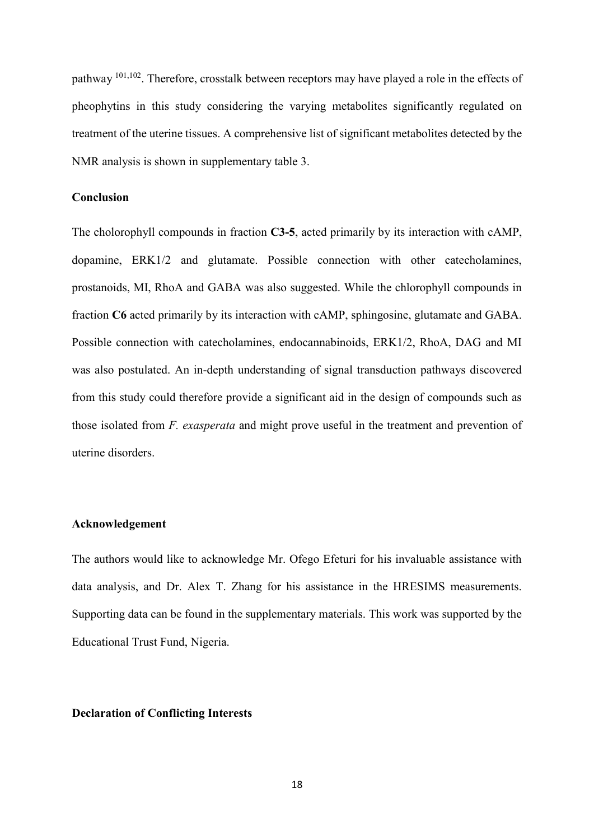pathway <sup>101,102</sup>. Therefore, crosstalk between receptors may have played a role in the effects of pheophytins in this study considering the varying metabolites significantly regulated on treatment of the uterine tissues. A comprehensive list of significant metabolites detected by the NMR analysis is shown in supplementary table 3.

## **Conclusion**

The cholorophyll compounds in fraction **C3-5**, acted primarily by its interaction with cAMP, dopamine, ERK1/2 and glutamate. Possible connection with other catecholamines, prostanoids, MI, RhoA and GABA was also suggested. While the chlorophyll compounds in fraction **C6** acted primarily by its interaction with cAMP, sphingosine, glutamate and GABA. Possible connection with catecholamines, endocannabinoids, ERK1/2, RhoA, DAG and MI was also postulated. An in-depth understanding of signal transduction pathways discovered from this study could therefore provide a significant aid in the design of compounds such as those isolated from *F. exasperata* and might prove useful in the treatment and prevention of uterine disorders.

#### **Acknowledgement**

The authors would like to acknowledge Mr. Ofego Efeturi for his invaluable assistance with data analysis, and Dr. Alex T. Zhang for his assistance in the HRESIMS measurements. Supporting data can be found in the supplementary materials. This work was supported by the Educational Trust Fund, Nigeria.

#### **Declaration of Conflicting Interests**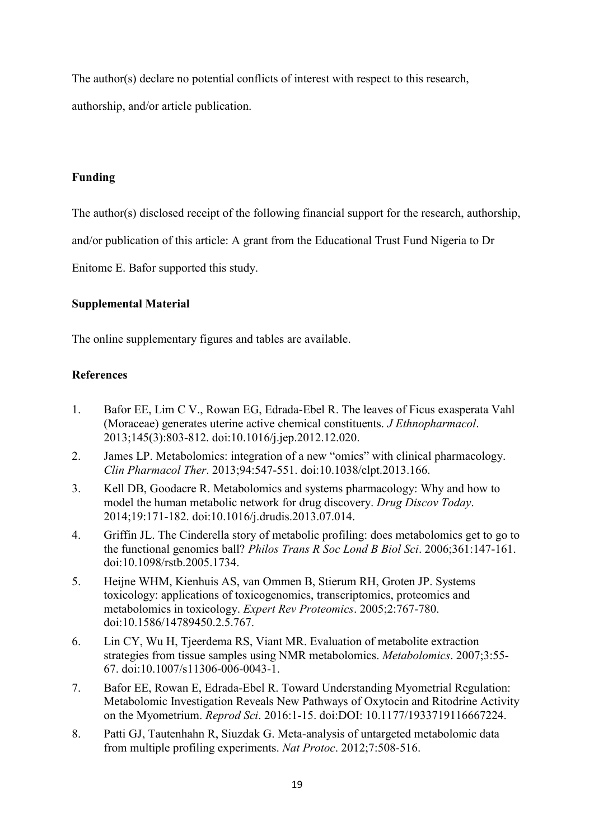The author(s) declare no potential conflicts of interest with respect to this research,

authorship, and/or article publication.

# **Funding**

The author(s) disclosed receipt of the following financial support for the research, authorship,

and/or publication of this article: A grant from the Educational Trust Fund Nigeria to Dr

Enitome E. Bafor supported this study.

# **Supplemental Material**

The online supplementary figures and tables are available.

# **References**

- 1. Bafor EE, Lim C V., Rowan EG, Edrada-Ebel R. The leaves of Ficus exasperata Vahl (Moraceae) generates uterine active chemical constituents. *J Ethnopharmacol*. 2013;145(3):803-812. doi:10.1016/j.jep.2012.12.020.
- 2. James LP. Metabolomics: integration of a new "omics" with clinical pharmacology. *Clin Pharmacol Ther*. 2013;94:547-551. doi:10.1038/clpt.2013.166.
- 3. Kell DB, Goodacre R. Metabolomics and systems pharmacology: Why and how to model the human metabolic network for drug discovery. *Drug Discov Today*. 2014;19:171-182. doi:10.1016/j.drudis.2013.07.014.
- 4. Griffin JL. The Cinderella story of metabolic profiling: does metabolomics get to go to the functional genomics ball? *Philos Trans R Soc Lond B Biol Sci*. 2006;361:147-161. doi:10.1098/rstb.2005.1734.
- 5. Heijne WHM, Kienhuis AS, van Ommen B, Stierum RH, Groten JP. Systems toxicology: applications of toxicogenomics, transcriptomics, proteomics and metabolomics in toxicology. *Expert Rev Proteomics*. 2005;2:767-780. doi:10.1586/14789450.2.5.767.
- 6. Lin CY, Wu H, Tjeerdema RS, Viant MR. Evaluation of metabolite extraction strategies from tissue samples using NMR metabolomics. *Metabolomics*. 2007;3:55- 67. doi:10.1007/s11306-006-0043-1.
- 7. Bafor EE, Rowan E, Edrada-Ebel R. Toward Understanding Myometrial Regulation: Metabolomic Investigation Reveals New Pathways of Oxytocin and Ritodrine Activity on the Myometrium. *Reprod Sci*. 2016:1-15. doi:DOI: 10.1177/1933719116667224.
- 8. Patti GJ, Tautenhahn R, Siuzdak G. Meta-analysis of untargeted metabolomic data from multiple profiling experiments. *Nat Protoc*. 2012;7:508-516.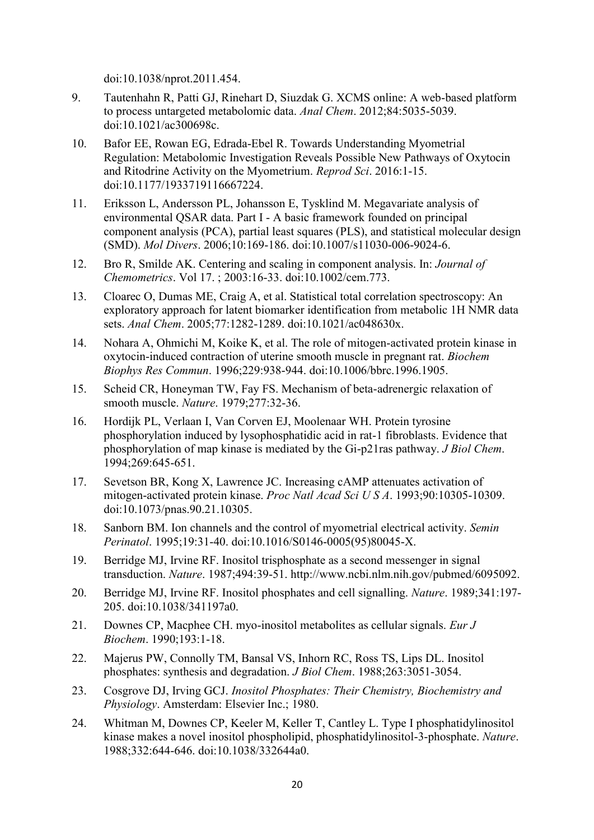doi:10.1038/nprot.2011.454.

- 9. Tautenhahn R, Patti GJ, Rinehart D, Siuzdak G. XCMS online: A web-based platform to process untargeted metabolomic data. *Anal Chem*. 2012;84:5035-5039. doi:10.1021/ac300698c.
- 10. Bafor EE, Rowan EG, Edrada-Ebel R. Towards Understanding Myometrial Regulation: Metabolomic Investigation Reveals Possible New Pathways of Oxytocin and Ritodrine Activity on the Myometrium. *Reprod Sci*. 2016:1-15. doi:10.1177/1933719116667224.
- 11. Eriksson L, Andersson PL, Johansson E, Tysklind M. Megavariate analysis of environmental QSAR data. Part I - A basic framework founded on principal component analysis (PCA), partial least squares (PLS), and statistical molecular design (SMD). *Mol Divers*. 2006;10:169-186. doi:10.1007/s11030-006-9024-6.
- 12. Bro R, Smilde AK. Centering and scaling in component analysis. In: *Journal of Chemometrics*. Vol 17. ; 2003:16-33. doi:10.1002/cem.773.
- 13. Cloarec O, Dumas ME, Craig A, et al. Statistical total correlation spectroscopy: An exploratory approach for latent biomarker identification from metabolic 1H NMR data sets. *Anal Chem*. 2005;77:1282-1289. doi:10.1021/ac048630x.
- 14. Nohara A, Ohmichi M, Koike K, et al. The role of mitogen-activated protein kinase in oxytocin-induced contraction of uterine smooth muscle in pregnant rat. *Biochem Biophys Res Commun*. 1996;229:938-944. doi:10.1006/bbrc.1996.1905.
- 15. Scheid CR, Honeyman TW, Fay FS. Mechanism of beta-adrenergic relaxation of smooth muscle. *Nature*. 1979;277:32-36.
- 16. Hordijk PL, Verlaan I, Van Corven EJ, Moolenaar WH. Protein tyrosine phosphorylation induced by lysophosphatidic acid in rat-1 fibroblasts. Evidence that phosphorylation of map kinase is mediated by the Gi-p21ras pathway. *J Biol Chem*. 1994;269:645-651.
- 17. Sevetson BR, Kong X, Lawrence JC. Increasing cAMP attenuates activation of mitogen-activated protein kinase. *Proc Natl Acad Sci U S A*. 1993;90:10305-10309. doi:10.1073/pnas.90.21.10305.
- 18. Sanborn BM. Ion channels and the control of myometrial electrical activity. *Semin Perinatol*. 1995;19:31-40. doi:10.1016/S0146-0005(95)80045-X.
- 19. Berridge MJ, Irvine RF. Inositol trisphosphate as a second messenger in signal transduction. *Nature*. 1987;494:39-51. http://www.ncbi.nlm.nih.gov/pubmed/6095092.
- 20. Berridge MJ, Irvine RF. Inositol phosphates and cell signalling. *Nature*. 1989;341:197- 205. doi:10.1038/341197a0.
- 21. Downes CP, Macphee CH. myo-inositol metabolites as cellular signals. *Eur J Biochem*. 1990;193:1-18.
- 22. Majerus PW, Connolly TM, Bansal VS, Inhorn RC, Ross TS, Lips DL. Inositol phosphates: synthesis and degradation. *J Biol Chem*. 1988;263:3051-3054.
- 23. Cosgrove DJ, Irving GCJ. *Inositol Phosphates: Their Chemistry, Biochemistry and Physiology*. Amsterdam: Elsevier Inc.; 1980.
- 24. Whitman M, Downes CP, Keeler M, Keller T, Cantley L. Type I phosphatidylinositol kinase makes a novel inositol phospholipid, phosphatidylinositol-3-phosphate. *Nature*. 1988;332:644-646. doi:10.1038/332644a0.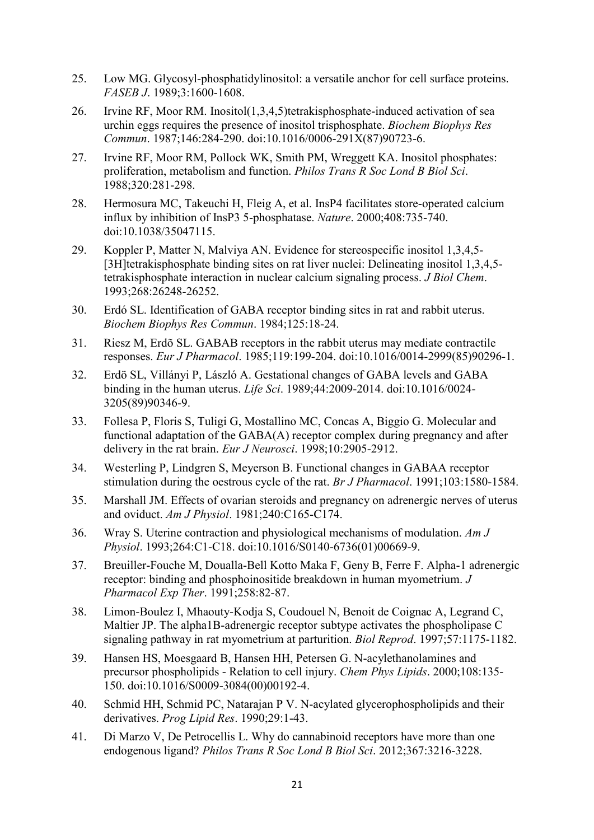- 25. Low MG. Glycosyl-phosphatidylinositol: a versatile anchor for cell surface proteins. *FASEB J*. 1989;3:1600-1608.
- 26. Irvine RF, Moor RM. Inositol(1,3,4,5)tetrakisphosphate-induced activation of sea urchin eggs requires the presence of inositol trisphosphate. *Biochem Biophys Res Commun*. 1987;146:284-290. doi:10.1016/0006-291X(87)90723-6.
- 27. Irvine RF, Moor RM, Pollock WK, Smith PM, Wreggett KA. Inositol phosphates: proliferation, metabolism and function. *Philos Trans R Soc Lond B Biol Sci*. 1988;320:281-298.
- 28. Hermosura MC, Takeuchi H, Fleig A, et al. InsP4 facilitates store-operated calcium influx by inhibition of InsP3 5-phosphatase. *Nature*. 2000;408:735-740. doi:10.1038/35047115.
- 29. Koppler P, Matter N, Malviya AN. Evidence for stereospecific inositol 1,3,4,5- [3H]tetrakisphosphate binding sites on rat liver nuclei: Delineating inositol 1,3,4,5 tetrakisphosphate interaction in nuclear calcium signaling process. *J Biol Chem*. 1993;268:26248-26252.
- 30. Erdó SL. Identification of GABA receptor binding sites in rat and rabbit uterus. *Biochem Biophys Res Commun*. 1984;125:18-24.
- 31. Riesz M, Erdõ SL. GABAB receptors in the rabbit uterus may mediate contractile responses. *Eur J Pharmacol*. 1985;119:199-204. doi:10.1016/0014-2999(85)90296-1.
- 32. Erdö SL, Villányi P, László A. Gestational changes of GABA levels and GABA binding in the human uterus. *Life Sci*. 1989;44:2009-2014. doi:10.1016/0024- 3205(89)90346-9.
- 33. Follesa P, Floris S, Tuligi G, Mostallino MC, Concas A, Biggio G. Molecular and functional adaptation of the GABA(A) receptor complex during pregnancy and after delivery in the rat brain. *Eur J Neurosci*. 1998;10:2905-2912.
- 34. Westerling P, Lindgren S, Meyerson B. Functional changes in GABAA receptor stimulation during the oestrous cycle of the rat. *Br J Pharmacol*. 1991;103:1580-1584.
- 35. Marshall JM. Effects of ovarian steroids and pregnancy on adrenergic nerves of uterus and oviduct. *Am J Physiol*. 1981;240:C165-C174.
- 36. Wray S. Uterine contraction and physiological mechanisms of modulation. *Am J Physiol*. 1993;264:C1-C18. doi:10.1016/S0140-6736(01)00669-9.
- 37. Breuiller-Fouche M, Doualla-Bell Kotto Maka F, Geny B, Ferre F. Alpha-1 adrenergic receptor: binding and phosphoinositide breakdown in human myometrium. *J Pharmacol Exp Ther*. 1991;258:82-87.
- 38. Limon-Boulez I, Mhaouty-Kodja S, Coudouel N, Benoit de Coignac A, Legrand C, Maltier JP. The alpha1B-adrenergic receptor subtype activates the phospholipase C signaling pathway in rat myometrium at parturition. *Biol Reprod*. 1997;57:1175-1182.
- 39. Hansen HS, Moesgaard B, Hansen HH, Petersen G. N-acylethanolamines and precursor phospholipids - Relation to cell injury. *Chem Phys Lipids*. 2000;108:135- 150. doi:10.1016/S0009-3084(00)00192-4.
- 40. Schmid HH, Schmid PC, Natarajan P V. N-acylated glycerophospholipids and their derivatives. *Prog Lipid Res*. 1990;29:1-43.
- 41. Di Marzo V, De Petrocellis L. Why do cannabinoid receptors have more than one endogenous ligand? *Philos Trans R Soc Lond B Biol Sci*. 2012;367:3216-3228.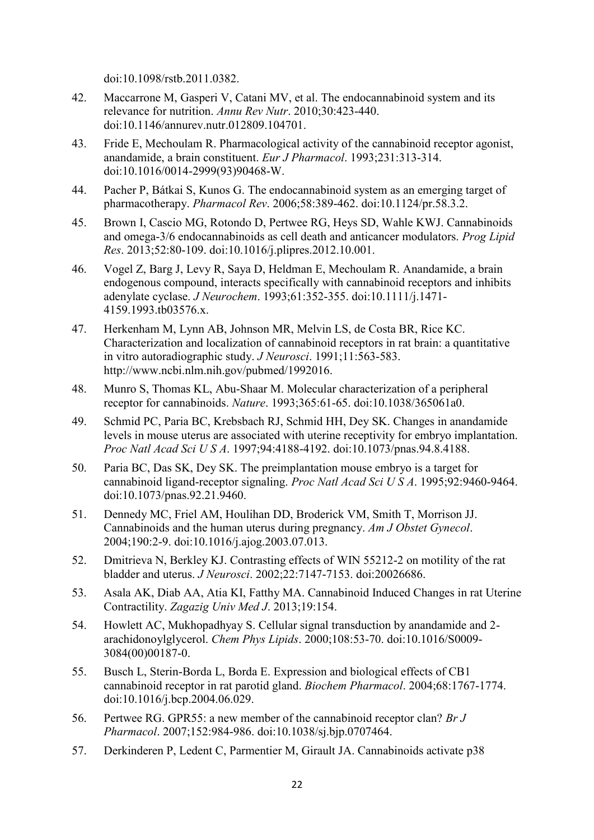doi:10.1098/rstb.2011.0382.

- 42. Maccarrone M, Gasperi V, Catani MV, et al. The endocannabinoid system and its relevance for nutrition. *Annu Rev Nutr*. 2010;30:423-440. doi:10.1146/annurev.nutr.012809.104701.
- 43. Fride E, Mechoulam R. Pharmacological activity of the cannabinoid receptor agonist, anandamide, a brain constituent. *Eur J Pharmacol*. 1993;231:313-314. doi:10.1016/0014-2999(93)90468-W.
- 44. Pacher P, Bátkai S, Kunos G. The endocannabinoid system as an emerging target of pharmacotherapy. *Pharmacol Rev*. 2006;58:389-462. doi:10.1124/pr.58.3.2.
- 45. Brown I, Cascio MG, Rotondo D, Pertwee RG, Heys SD, Wahle KWJ. Cannabinoids and omega-3/6 endocannabinoids as cell death and anticancer modulators. *Prog Lipid Res*. 2013;52:80-109. doi:10.1016/j.plipres.2012.10.001.
- 46. Vogel Z, Barg J, Levy R, Saya D, Heldman E, Mechoulam R. Anandamide, a brain endogenous compound, interacts specifically with cannabinoid receptors and inhibits adenylate cyclase. *J Neurochem*. 1993;61:352-355. doi:10.1111/j.1471- 4159.1993.tb03576.x.
- 47. Herkenham M, Lynn AB, Johnson MR, Melvin LS, de Costa BR, Rice KC. Characterization and localization of cannabinoid receptors in rat brain: a quantitative in vitro autoradiographic study. *J Neurosci*. 1991;11:563-583. http://www.ncbi.nlm.nih.gov/pubmed/1992016.
- 48. Munro S, Thomas KL, Abu-Shaar M. Molecular characterization of a peripheral receptor for cannabinoids. *Nature*. 1993;365:61-65. doi:10.1038/365061a0.
- 49. Schmid PC, Paria BC, Krebsbach RJ, Schmid HH, Dey SK. Changes in anandamide levels in mouse uterus are associated with uterine receptivity for embryo implantation. *Proc Natl Acad Sci U S A*. 1997;94:4188-4192. doi:10.1073/pnas.94.8.4188.
- 50. Paria BC, Das SK, Dey SK. The preimplantation mouse embryo is a target for cannabinoid ligand-receptor signaling. *Proc Natl Acad Sci U S A*. 1995;92:9460-9464. doi:10.1073/pnas.92.21.9460.
- 51. Dennedy MC, Friel AM, Houlihan DD, Broderick VM, Smith T, Morrison JJ. Cannabinoids and the human uterus during pregnancy. *Am J Obstet Gynecol*. 2004;190:2-9. doi:10.1016/j.ajog.2003.07.013.
- 52. Dmitrieva N, Berkley KJ. Contrasting effects of WIN 55212-2 on motility of the rat bladder and uterus. *J Neurosci*. 2002;22:7147-7153. doi:20026686.
- 53. Asala AK, Diab AA, Atia KI, Fatthy MA. Cannabinoid Induced Changes in rat Uterine Contractility. *Zagazig Univ Med J*. 2013;19:154.
- 54. Howlett AC, Mukhopadhyay S. Cellular signal transduction by anandamide and 2 arachidonoylglycerol. *Chem Phys Lipids*. 2000;108:53-70. doi:10.1016/S0009- 3084(00)00187-0.
- 55. Busch L, Sterin-Borda L, Borda E. Expression and biological effects of CB1 cannabinoid receptor in rat parotid gland. *Biochem Pharmacol*. 2004;68:1767-1774. doi:10.1016/j.bcp.2004.06.029.
- 56. Pertwee RG. GPR55: a new member of the cannabinoid receptor clan? *Br J Pharmacol*. 2007;152:984-986. doi:10.1038/sj.bjp.0707464.
- 57. Derkinderen P, Ledent C, Parmentier M, Girault JA. Cannabinoids activate p38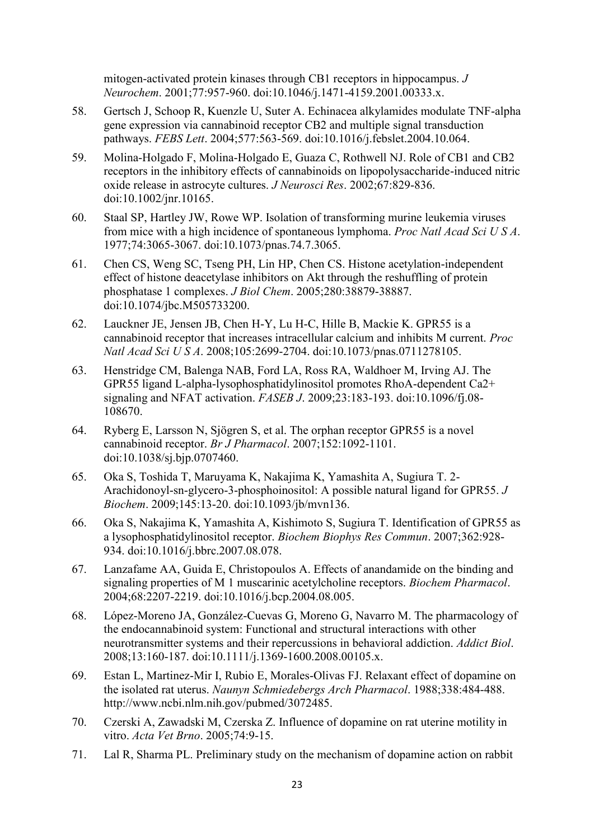mitogen-activated protein kinases through CB1 receptors in hippocampus. *J Neurochem*. 2001;77:957-960. doi:10.1046/j.1471-4159.2001.00333.x.

- 58. Gertsch J, Schoop R, Kuenzle U, Suter A. Echinacea alkylamides modulate TNF-alpha gene expression via cannabinoid receptor CB2 and multiple signal transduction pathways. *FEBS Lett*. 2004;577:563-569. doi:10.1016/j.febslet.2004.10.064.
- 59. Molina-Holgado F, Molina-Holgado E, Guaza C, Rothwell NJ. Role of CB1 and CB2 receptors in the inhibitory effects of cannabinoids on lipopolysaccharide-induced nitric oxide release in astrocyte cultures. *J Neurosci Res*. 2002;67:829-836. doi:10.1002/jnr.10165.
- 60. Staal SP, Hartley JW, Rowe WP. Isolation of transforming murine leukemia viruses from mice with a high incidence of spontaneous lymphoma. *Proc Natl Acad Sci U S A*. 1977;74:3065-3067. doi:10.1073/pnas.74.7.3065.
- 61. Chen CS, Weng SC, Tseng PH, Lin HP, Chen CS. Histone acetylation-independent effect of histone deacetylase inhibitors on Akt through the reshuffling of protein phosphatase 1 complexes. *J Biol Chem*. 2005;280:38879-38887. doi:10.1074/jbc.M505733200.
- 62. Lauckner JE, Jensen JB, Chen H-Y, Lu H-C, Hille B, Mackie K. GPR55 is a cannabinoid receptor that increases intracellular calcium and inhibits M current. *Proc Natl Acad Sci U S A*. 2008;105:2699-2704. doi:10.1073/pnas.0711278105.
- 63. Henstridge CM, Balenga NAB, Ford LA, Ross RA, Waldhoer M, Irving AJ. The GPR55 ligand L-alpha-lysophosphatidylinositol promotes RhoA-dependent Ca2+ signaling and NFAT activation. *FASEB J*. 2009;23:183-193. doi:10.1096/fj.08- 108670.
- 64. Ryberg E, Larsson N, Sjögren S, et al. The orphan receptor GPR55 is a novel cannabinoid receptor. *Br J Pharmacol*. 2007;152:1092-1101. doi:10.1038/sj.bjp.0707460.
- 65. Oka S, Toshida T, Maruyama K, Nakajima K, Yamashita A, Sugiura T. 2- Arachidonoyl-sn-glycero-3-phosphoinositol: A possible natural ligand for GPR55. *J Biochem*. 2009;145:13-20. doi:10.1093/jb/mvn136.
- 66. Oka S, Nakajima K, Yamashita A, Kishimoto S, Sugiura T. Identification of GPR55 as a lysophosphatidylinositol receptor. *Biochem Biophys Res Commun*. 2007;362:928- 934. doi:10.1016/j.bbrc.2007.08.078.
- 67. Lanzafame AA, Guida E, Christopoulos A. Effects of anandamide on the binding and signaling properties of M 1 muscarinic acetylcholine receptors. *Biochem Pharmacol*. 2004;68:2207-2219. doi:10.1016/j.bcp.2004.08.005.
- 68. López-Moreno JA, González-Cuevas G, Moreno G, Navarro M. The pharmacology of the endocannabinoid system: Functional and structural interactions with other neurotransmitter systems and their repercussions in behavioral addiction. *Addict Biol*. 2008;13:160-187. doi:10.1111/j.1369-1600.2008.00105.x.
- 69. Estan L, Martinez-Mir I, Rubio E, Morales-Olivas FJ. Relaxant effect of dopamine on the isolated rat uterus. *Naunyn Schmiedebergs Arch Pharmacol*. 1988;338:484-488. http://www.ncbi.nlm.nih.gov/pubmed/3072485.
- 70. Czerski A, Zawadski M, Czerska Z. Influence of dopamine on rat uterine motility in vitro. *Acta Vet Brno*. 2005;74:9-15.
- 71. Lal R, Sharma PL. Preliminary study on the mechanism of dopamine action on rabbit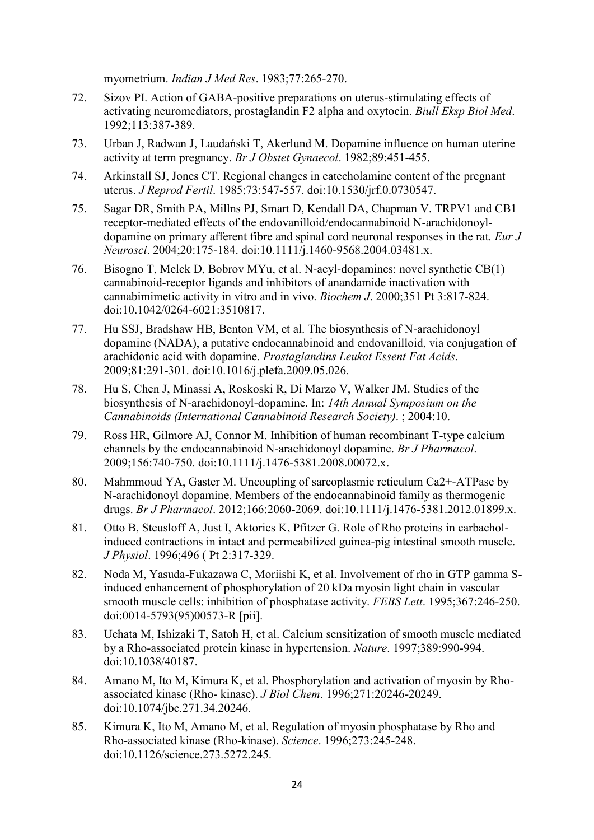myometrium. *Indian J Med Res*. 1983;77:265-270.

- 72. Sizov PI. Action of GABA-positive preparations on uterus-stimulating effects of activating neuromediators, prostaglandin F2 alpha and oxytocin. *Biull Eksp Biol Med*. 1992;113:387-389.
- 73. Urban J, Radwan J, Laudański T, Akerlund M. Dopamine influence on human uterine activity at term pregnancy. *Br J Obstet Gynaecol*. 1982;89:451-455.
- 74. Arkinstall SJ, Jones CT. Regional changes in catecholamine content of the pregnant uterus. *J Reprod Fertil*. 1985;73:547-557. doi:10.1530/jrf.0.0730547.
- 75. Sagar DR, Smith PA, Millns PJ, Smart D, Kendall DA, Chapman V. TRPV1 and CB1 receptor-mediated effects of the endovanilloid/endocannabinoid N-arachidonoyldopamine on primary afferent fibre and spinal cord neuronal responses in the rat. *Eur J Neurosci*. 2004;20:175-184. doi:10.1111/j.1460-9568.2004.03481.x.
- 76. Bisogno T, Melck D, Bobrov MYu, et al. N-acyl-dopamines: novel synthetic CB(1) cannabinoid-receptor ligands and inhibitors of anandamide inactivation with cannabimimetic activity in vitro and in vivo. *Biochem J*. 2000;351 Pt 3:817-824. doi:10.1042/0264-6021:3510817.
- 77. Hu SSJ, Bradshaw HB, Benton VM, et al. The biosynthesis of N-arachidonoyl dopamine (NADA), a putative endocannabinoid and endovanilloid, via conjugation of arachidonic acid with dopamine. *Prostaglandins Leukot Essent Fat Acids*. 2009;81:291-301. doi:10.1016/j.plefa.2009.05.026.
- 78. Hu S, Chen J, Minassi A, Roskoski R, Di Marzo V, Walker JM. Studies of the biosynthesis of N-arachidonoyl-dopamine. In: *14th Annual Symposium on the Cannabinoids (International Cannabinoid Research Society)*. ; 2004:10.
- 79. Ross HR, Gilmore AJ, Connor M. Inhibition of human recombinant T-type calcium channels by the endocannabinoid N-arachidonoyl dopamine. *Br J Pharmacol*. 2009;156:740-750. doi:10.1111/j.1476-5381.2008.00072.x.
- 80. Mahmmoud YA, Gaster M. Uncoupling of sarcoplasmic reticulum Ca2+-ATPase by N-arachidonoyl dopamine. Members of the endocannabinoid family as thermogenic drugs. *Br J Pharmacol*. 2012;166:2060-2069. doi:10.1111/j.1476-5381.2012.01899.x.
- 81. Otto B, Steusloff A, Just I, Aktories K, Pfitzer G. Role of Rho proteins in carbacholinduced contractions in intact and permeabilized guinea-pig intestinal smooth muscle. *J Physiol*. 1996;496 ( Pt 2:317-329.
- 82. Noda M, Yasuda-Fukazawa C, Moriishi K, et al. Involvement of rho in GTP gamma Sinduced enhancement of phosphorylation of 20 kDa myosin light chain in vascular smooth muscle cells: inhibition of phosphatase activity. *FEBS Lett*. 1995;367:246-250. doi:0014-5793(95)00573-R [pii].
- 83. Uehata M, Ishizaki T, Satoh H, et al. Calcium sensitization of smooth muscle mediated by a Rho-associated protein kinase in hypertension. *Nature*. 1997;389:990-994. doi:10.1038/40187.
- 84. Amano M, Ito M, Kimura K, et al. Phosphorylation and activation of myosin by Rhoassociated kinase (Rho- kinase). *J Biol Chem*. 1996;271:20246-20249. doi:10.1074/jbc.271.34.20246.
- 85. Kimura K, Ito M, Amano M, et al. Regulation of myosin phosphatase by Rho and Rho-associated kinase (Rho-kinase). *Science*. 1996;273:245-248. doi:10.1126/science.273.5272.245.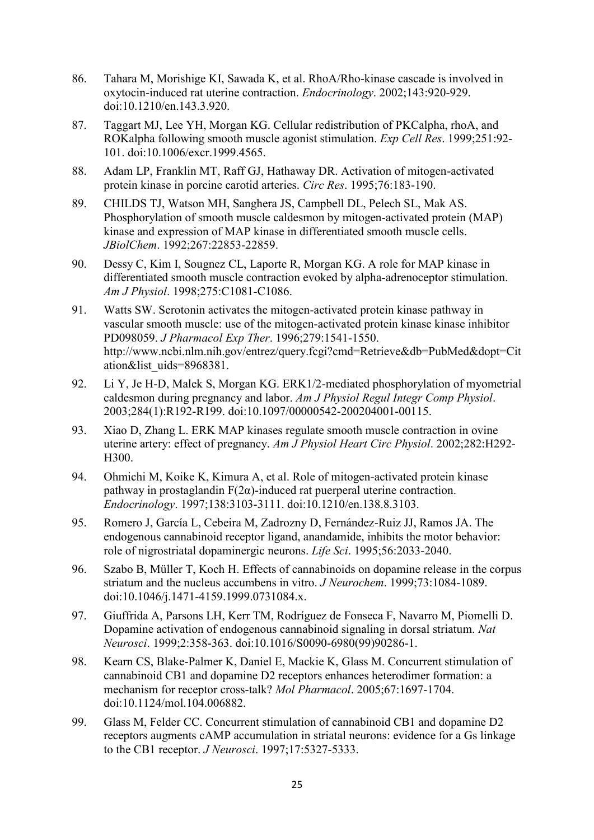- 86. Tahara M, Morishige KI, Sawada K, et al. RhoA/Rho-kinase cascade is involved in oxytocin-induced rat uterine contraction. *Endocrinology*. 2002;143:920-929. doi:10.1210/en.143.3.920.
- 87. Taggart MJ, Lee YH, Morgan KG. Cellular redistribution of PKCalpha, rhoA, and ROKalpha following smooth muscle agonist stimulation. *Exp Cell Res*. 1999;251:92- 101. doi:10.1006/excr.1999.4565.
- 88. Adam LP, Franklin MT, Raff GJ, Hathaway DR. Activation of mitogen-activated protein kinase in porcine carotid arteries. *Circ Res*. 1995;76:183-190.
- 89. CHILDS TJ, Watson MH, Sanghera JS, Campbell DL, Pelech SL, Mak AS. Phosphorylation of smooth muscle caldesmon by mitogen-activated protein (MAP) kinase and expression of MAP kinase in differentiated smooth muscle cells. *JBiolChem*. 1992;267:22853-22859.
- 90. Dessy C, Kim I, Sougnez CL, Laporte R, Morgan KG. A role for MAP kinase in differentiated smooth muscle contraction evoked by alpha-adrenoceptor stimulation. *Am J Physiol*. 1998;275:C1081-C1086.
- 91. Watts SW. Serotonin activates the mitogen-activated protein kinase pathway in vascular smooth muscle: use of the mitogen-activated protein kinase kinase inhibitor PD098059. *J Pharmacol Exp Ther*. 1996;279:1541-1550. http://www.ncbi.nlm.nih.gov/entrez/query.fcgi?cmd=Retrieve&db=PubMed&dopt=Cit ation&list\_uids=8968381.
- 92. Li Y, Je H-D, Malek S, Morgan KG. ERK1/2-mediated phosphorylation of myometrial caldesmon during pregnancy and labor. *Am J Physiol Regul Integr Comp Physiol*. 2003;284(1):R192-R199. doi:10.1097/00000542-200204001-00115.
- 93. Xiao D, Zhang L. ERK MAP kinases regulate smooth muscle contraction in ovine uterine artery: effect of pregnancy. *Am J Physiol Heart Circ Physiol*. 2002;282:H292- H300.
- 94. Ohmichi M, Koike K, Kimura A, et al. Role of mitogen-activated protein kinase pathway in prostaglandin F(2α)-induced rat puerperal uterine contraction. *Endocrinology*. 1997;138:3103-3111. doi:10.1210/en.138.8.3103.
- 95. Romero J, García L, Cebeira M, Zadrozny D, Fernández-Ruiz JJ, Ramos JA. The endogenous cannabinoid receptor ligand, anandamide, inhibits the motor behavior: role of nigrostriatal dopaminergic neurons. *Life Sci*. 1995;56:2033-2040.
- 96. Szabo B, Müller T, Koch H. Effects of cannabinoids on dopamine release in the corpus striatum and the nucleus accumbens in vitro. *J Neurochem*. 1999;73:1084-1089. doi:10.1046/j.1471-4159.1999.0731084.x.
- 97. Giuffrida A, Parsons LH, Kerr TM, Rodríguez de Fonseca F, Navarro M, Piomelli D. Dopamine activation of endogenous cannabinoid signaling in dorsal striatum. *Nat Neurosci*. 1999;2:358-363. doi:10.1016/S0090-6980(99)90286-1.
- 98. Kearn CS, Blake-Palmer K, Daniel E, Mackie K, Glass M. Concurrent stimulation of cannabinoid CB1 and dopamine D2 receptors enhances heterodimer formation: a mechanism for receptor cross-talk? *Mol Pharmacol*. 2005;67:1697-1704. doi:10.1124/mol.104.006882.
- 99. Glass M, Felder CC. Concurrent stimulation of cannabinoid CB1 and dopamine D2 receptors augments cAMP accumulation in striatal neurons: evidence for a Gs linkage to the CB1 receptor. *J Neurosci*. 1997;17:5327-5333.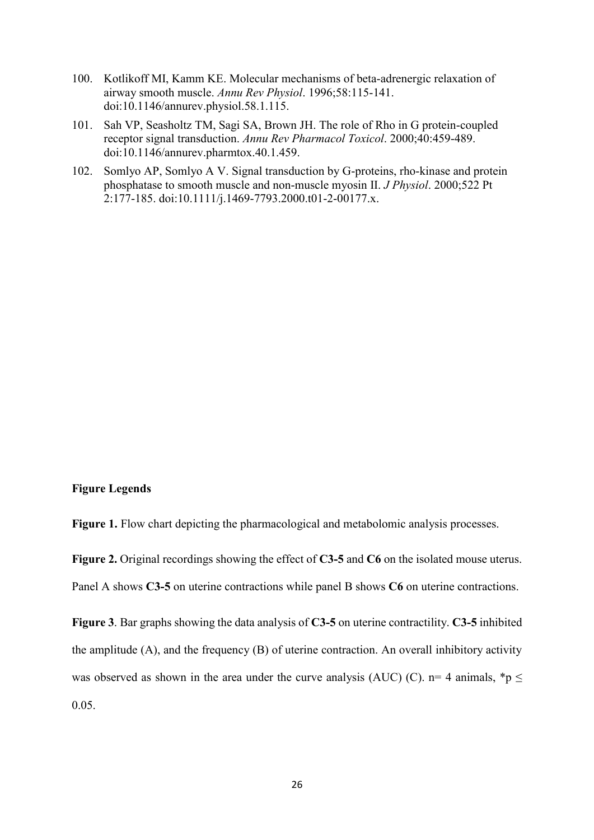- 100. Kotlikoff MI, Kamm KE. Molecular mechanisms of beta-adrenergic relaxation of airway smooth muscle. *Annu Rev Physiol*. 1996;58:115-141. doi:10.1146/annurev.physiol.58.1.115.
- 101. Sah VP, Seasholtz TM, Sagi SA, Brown JH. The role of Rho in G protein-coupled receptor signal transduction. *Annu Rev Pharmacol Toxicol*. 2000;40:459-489. doi:10.1146/annurev.pharmtox.40.1.459.
- 102. Somlyo AP, Somlyo A V. Signal transduction by G-proteins, rho-kinase and protein phosphatase to smooth muscle and non-muscle myosin II. *J Physiol*. 2000;522 Pt 2:177-185. doi:10.1111/j.1469-7793.2000.t01-2-00177.x.

## **Figure Legends**

Figure 1. Flow chart depicting the pharmacological and metabolomic analysis processes.

**Figure 2.** Original recordings showing the effect of **C3-5** and **C6** on the isolated mouse uterus. Panel A shows **C3-5** on uterine contractions while panel B shows **C6** on uterine contractions.

**Figure 3**. Bar graphs showing the data analysis of **C3-5** on uterine contractility. **C3-5** inhibited the amplitude (A), and the frequency (B) of uterine contraction. An overall inhibitory activity was observed as shown in the area under the curve analysis (AUC) (C). n= 4 animals, \*p  $\leq$ 0.05.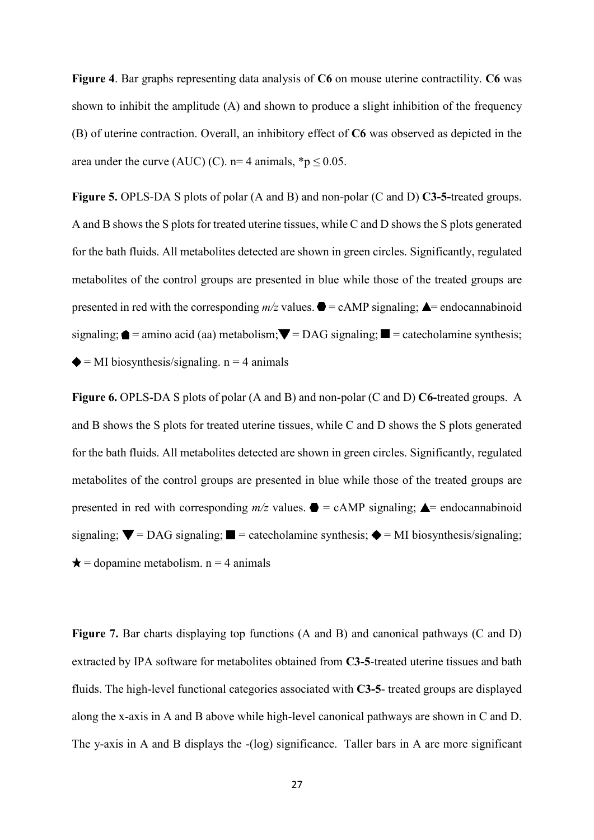**Figure 4**. Bar graphs representing data analysis of **C6** on mouse uterine contractility. **C6** was shown to inhibit the amplitude (A) and shown to produce a slight inhibition of the frequency (B) of uterine contraction. Overall, an inhibitory effect of **C6** was observed as depicted in the area under the curve (AUC) (C).  $n=4$  animals,  $*p < 0.05$ .

**Figure 5.** OPLS-DA S plots of polar (A and B) and non-polar (C and D) **C3-5-**treated groups. A and B shows the S plots for treated uterine tissues, while C and D shows the S plots generated for the bath fluids. All metabolites detected are shown in green circles. Significantly, regulated metabolites of the control groups are presented in blue while those of the treated groups are presented in red with the corresponding  $m/z$  values.  $\bullet$  = cAMP signaling;  $\bullet$  = endocannabinoid signaling;  $\bullet$  = amino acid (aa) metabolism;  $\nabla$  = DAG signaling;  $\square$  = catecholamine synthesis;  $\triangle$  = MI biosynthesis/signaling. n = 4 animals

**Figure 6.** OPLS-DA S plots of polar (A and B) and non-polar (C and D) **C6-**treated groups. A and B shows the S plots for treated uterine tissues, while C and D shows the S plots generated for the bath fluids. All metabolites detected are shown in green circles. Significantly, regulated metabolites of the control groups are presented in blue while those of the treated groups are presented in red with corresponding  $m/z$  values.  $\bullet =$  cAMP signaling;  $\bullet$  = endocannabinoid signaling;  $\blacktriangledown$  = DAG signaling;  $\blacktriangledown$  = catecholamine synthesis;  $\blacklozenge$  = MI biosynthesis/signaling;  $\star$  = dopamine metabolism. n = 4 animals

Figure 7. Bar charts displaying top functions (A and B) and canonical pathways (C and D) extracted by IPA software for metabolites obtained from **C3-5**-treated uterine tissues and bath fluids. The high-level functional categories associated with **C3-5**- treated groups are displayed along the x-axis in A and B above while high-level canonical pathways are shown in C and D. The y-axis in A and B displays the -(log) significance. Taller bars in A are more significant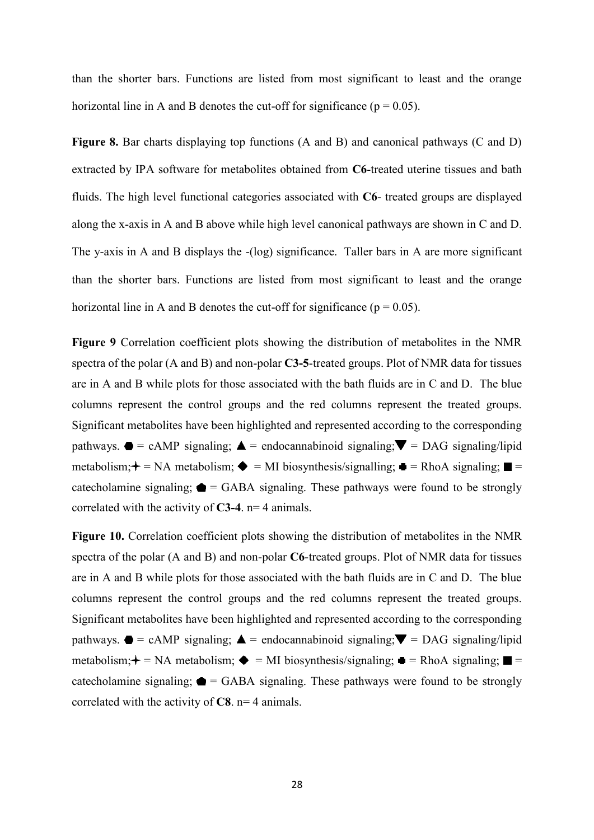than the shorter bars. Functions are listed from most significant to least and the orange horizontal line in A and B denotes the cut-off for significance ( $p = 0.05$ ).

**Figure 8.** Bar charts displaying top functions (A and B) and canonical pathways (C and D) extracted by IPA software for metabolites obtained from **C6**-treated uterine tissues and bath fluids. The high level functional categories associated with **C6**- treated groups are displayed along the x-axis in A and B above while high level canonical pathways are shown in C and D. The y-axis in A and B displays the -(log) significance. Taller bars in A are more significant than the shorter bars. Functions are listed from most significant to least and the orange horizontal line in A and B denotes the cut-off for significance ( $p = 0.05$ ).

**Figure 9** Correlation coefficient plots showing the distribution of metabolites in the NMR spectra of the polar (A and B) and non-polar **C3-5**-treated groups. Plot of NMR data for tissues are in A and B while plots for those associated with the bath fluids are in C and D. The blue columns represent the control groups and the red columns represent the treated groups. Significant metabolites have been highlighted and represented according to the corresponding pathways.  $\bullet = \text{cAMP signaling}; \blacktriangle = \text{endocannabinoid signaling}; \blacktriangledown = \text{DAG signaling}$ metabolism;  $\div$  = NA metabolism;  $\div$  = MI biosynthesis/signalling;  $\equiv$  = RhoA signaling;  $\equiv$  = cate cholamine signaling;  $\bullet$  = GABA signaling. These pathways were found to be strongly correlated with the activity of **C3-4**. n= 4 animals.

**Figure 10.** Correlation coefficient plots showing the distribution of metabolites in the NMR spectra of the polar (A and B) and non-polar **C6**-treated groups. Plot of NMR data for tissues are in A and B while plots for those associated with the bath fluids are in C and D. The blue columns represent the control groups and the red columns represent the treated groups. Significant metabolites have been highlighted and represented according to the corresponding pathways.  $\bullet = \text{cAMP signaling}; \blacktriangle = \text{endocannabinoid signaling}; \blacktriangledown = \text{DAG signaling}$ /lipid metabolism;  $\div$  = NA metabolism;  $\div$  = MI biosynthesis/signaling;  $\div$  = RhoA signaling;  $\equiv$  = cate cholamine signaling;  $\bullet$  = GABA signaling. These pathways were found to be strongly correlated with the activity of **C8**. n= 4 animals.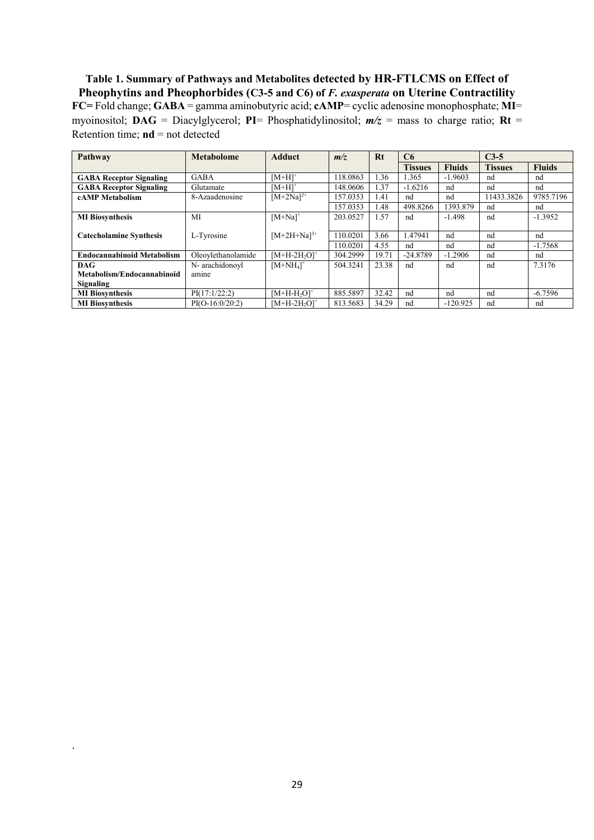**Table 1. Summary of Pathways and Metabolites detected by HR-FTLCMS on Effect of Pheophytins and Pheophorbides (C3-5 and C6) of** *F. exasperata* **on Uterine Contractility FC=** Fold change; **GABA** = gamma aminobutyric acid; **cAMP**= cyclic adenosine monophosphate; **MI**= myoinositol; **DAG** = Diacylglycerol; **PI**= Phosphatidylinositol; *m/z* = mass to charge ratio; **Rt** = Retention time; **nd** = not detected

| Pathway                           | Metabolome         | <b>Adduct</b>         | m/z      | Rt    | C6             |               | $C3-5$         |               |
|-----------------------------------|--------------------|-----------------------|----------|-------|----------------|---------------|----------------|---------------|
|                                   |                    |                       |          |       | <b>Tissues</b> | <b>Fluids</b> | <b>Tissues</b> | <b>Fluids</b> |
| <b>GABA Receptor Signaling</b>    | GABA               | $[M+H]$ <sup>+</sup>  | 118.0863 | 1.36  | 1.365          | $-1.9603$     | nd             | nd            |
| <b>GABA Receptor Signaling</b>    | Glutamate          | $[M+H]$ <sup>+</sup>  | 148,0606 | 1.37  | $-1.6216$      | nd            | nd             | nd            |
| cAMP Metabolism                   | 8-Azaadenosine     | $[M+2Na]^{2+}$        | 157.0353 | l.41  | nd             | nd            | 11433.3826     | 9785.7196     |
|                                   |                    |                       | 157.0353 | 1.48  | 498.8266       | 1393.879      | nd             | nd            |
| <b>MI</b> Biosynthesis            | MI                 | $[M+Na]$ <sup>+</sup> | 203.0527 | 1.57  | nd             | $-1.498$      | nd             | $-1.3952$     |
|                                   |                    |                       |          |       |                |               |                |               |
| <b>Catecholamine Synthesis</b>    | L-Tyrosine         | $[M+2H+Na]^{3+}$      | 110.0201 | 3.66  | 1.47941        | nd            | nd             | nd            |
|                                   |                    |                       | 110.0201 | 4.55  | nd             | nd            | nd             | $-1.7568$     |
| <b>Endocannabinoid Metabolism</b> | Oleovlethanolamide | $[M+H-2H20]+$         | 304.2999 | 19.71 | $-24.8789$     | $-1.2906$     | nd             | nd            |
| DAG.                              | N- arachidonovl    | $[M+NH_4]^+$          | 504.3241 | 23.38 | nd             | nd            | nd             | 7.3176        |
| Metabolism/Endocannabinoid        | amine              |                       |          |       |                |               |                |               |
| Signaling                         |                    |                       |          |       |                |               |                |               |
| <b>MI</b> Biosynthesis            | PI(17:1/22:2)      | $[M+H-H2O]+$          | 885.5897 | 32.42 | nd             | nd            | nd             | $-6.7596$     |
| <b>MI</b> Biosynthesis            | $PI(O-16:0/20:2)$  | $[M+H-2H20]+$         | 813.5683 | 34.29 | nd             | $-120.925$    | nd             | nd            |

.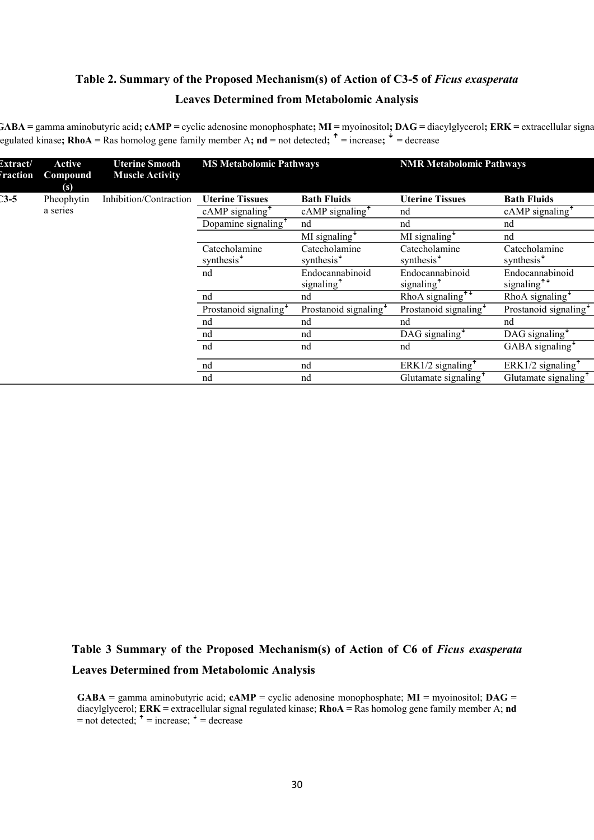# **Table 2. Summary of the Proposed Mechanism(s) of Action of C3-5 of** *Ficus exasperata*  **Leaves Determined from Metabolomic Analysis**

**GABA** = gamma aminobutyric acid; **cAMP** = cyclic adenosine monophosphate; **MI** = myoinositol; **DAG** = diacylglycerol; **ERK** = extracellular signal regulated kinase**; RhoA =** Ras homolog gene family member A**; nd =** not detected**; ꜛ =** increase**; ꜜ =** decrease

| Extract/<br><i><b>Traction</b></i> | <b>Active</b><br>Compound<br>$\left( s\right)$ | <b>Uterine Smooth</b><br><b>Muscle Activity</b> | <b>MS Metabolomic Pathways</b>             |                                            | <b>NMR Metabolomic Pathways</b>                     |                                            |  |
|------------------------------------|------------------------------------------------|-------------------------------------------------|--------------------------------------------|--------------------------------------------|-----------------------------------------------------|--------------------------------------------|--|
| $3 - 5$                            | Pheophytin                                     | Inhibition/Contraction                          | <b>Uterine Tissues</b>                     | <b>Bath Fluids</b>                         | <b>Uterine Tissues</b>                              | <b>Bath Fluids</b>                         |  |
|                                    | a series                                       |                                                 | $cAMP$ signaling <sup><math>†</math></sup> | $cAMP$ signaling <sup><math>†</math></sup> | nd                                                  | $cAMP$ signaling <sup><math>†</math></sup> |  |
|                                    |                                                |                                                 | Dopamine signaling <sup>+</sup>            | nd                                         | nd                                                  | nd                                         |  |
|                                    |                                                |                                                 |                                            | MI signaling $*$                           | MI signaling $\overline{ }$                         | nd                                         |  |
|                                    |                                                |                                                 | Catecholamine<br>synthesis <sup>+</sup>    | Catecholamine<br>synthesis <sup>+</sup>    | Catecholamine<br>synthesis <sup>+</sup>             | Catecholamine<br>synthesis <sup>+</sup>    |  |
|                                    |                                                |                                                 | nd                                         | Endocannabinoid<br>signaling <sup>+</sup>  | Endocannabinoid<br>signaling <sup>+</sup>           | Endocannabinoid<br>signaling <sup>++</sup> |  |
|                                    |                                                |                                                 | nd                                         | nd                                         | RhoA signaling <sup><math>\overline{+}</math></sup> | RhoA signaling $\star$                     |  |
|                                    |                                                |                                                 | Prostanoid signaling <sup>+</sup>          | Prostanoid signaling $\overline{\ }$       | Prostanoid signaling <sup>+</sup>                   | Prostanoid signaling <sup>+</sup>          |  |
|                                    |                                                |                                                 | nd                                         | nd                                         | nd                                                  | nd                                         |  |
|                                    |                                                |                                                 | nd                                         | nd                                         | DAG signaling $\overline{ }$                        | DAG signaling $\overline{ }$               |  |
|                                    |                                                |                                                 | nd                                         | nd                                         | nd                                                  | GABA signaling <sup>+</sup>                |  |
|                                    |                                                |                                                 | nd                                         | nd                                         | ERK1/2 signaling <sup><math>\uparrow</math></sup>   | ERK1/2 signaling $\uparrow$                |  |
|                                    |                                                |                                                 | nd                                         | nd                                         | Glutamate signaling <sup>+</sup>                    | Glutamate signaling <sup>+</sup>           |  |

# **Table 3 Summary of the Proposed Mechanism(s) of Action of C6 of** *Ficus exasperata*  **Leaves Determined from Metabolomic Analysis**

**GABA =** gamma aminobutyric acid; **cAMP** = cyclic adenosine monophosphate; **MI =** myoinositol; **DAG =**  diacylglycerol; **ERK =** extracellular signal regulated kinase; **RhoA =** Ras homolog gene family member A; **nd**   $=$ not detected;  $\uparrow$   $=$  increase;  $\downarrow$   $=$  decrease